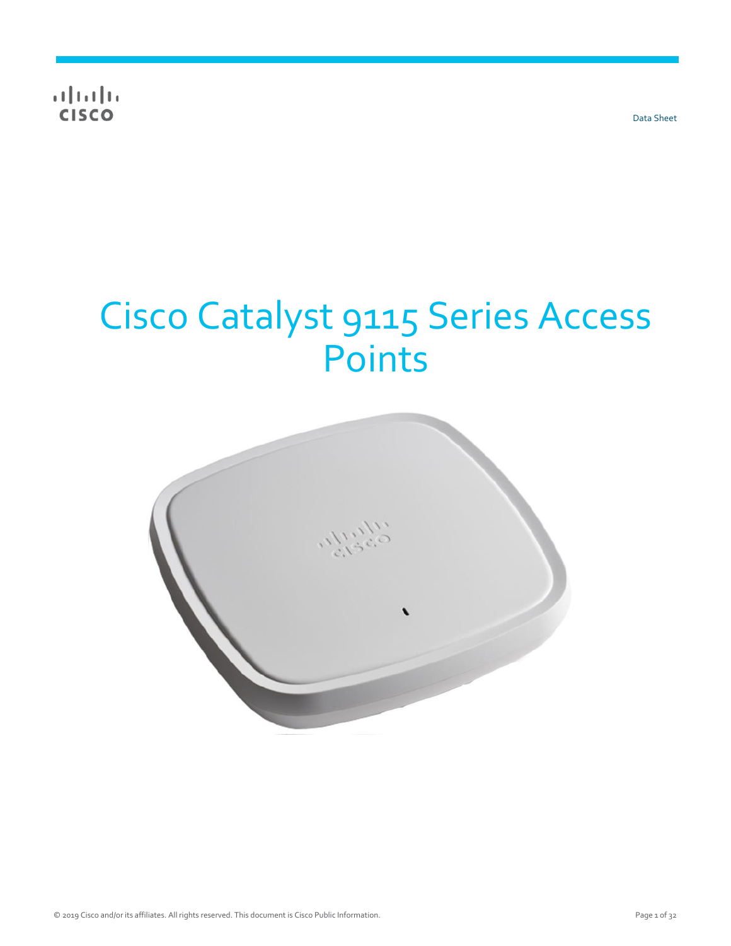$\frac{1}{\sqrt{2}}$ 

Data Sheet

# Cisco Catalyst 9115 Series Access Points

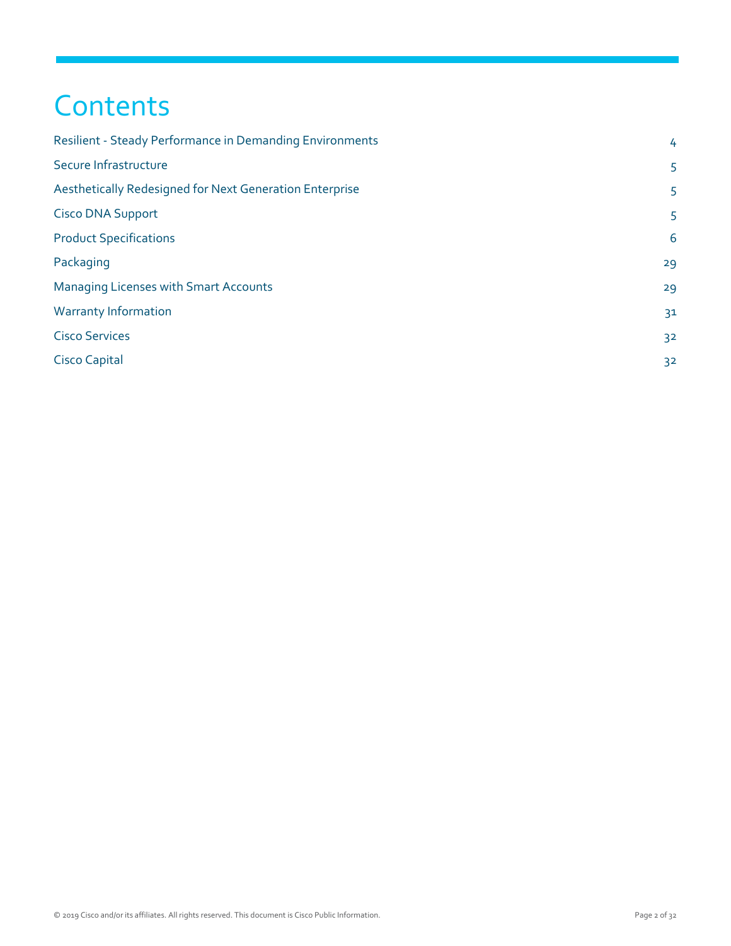# **Contents**

| Resilient - Steady Performance in Demanding Environments | 4              |
|----------------------------------------------------------|----------------|
| Secure Infrastructure                                    | 5              |
| Aesthetically Redesigned for Next Generation Enterprise  | 5              |
| <b>Cisco DNA Support</b>                                 | 5              |
| <b>Product Specifications</b>                            | 6              |
| Packaging                                                | 29             |
| <b>Managing Licenses with Smart Accounts</b>             | 29             |
| <b>Warranty Information</b>                              | 3 <sup>1</sup> |
| <b>Cisco Services</b>                                    | 32             |
| <b>Cisco Capital</b>                                     | 32             |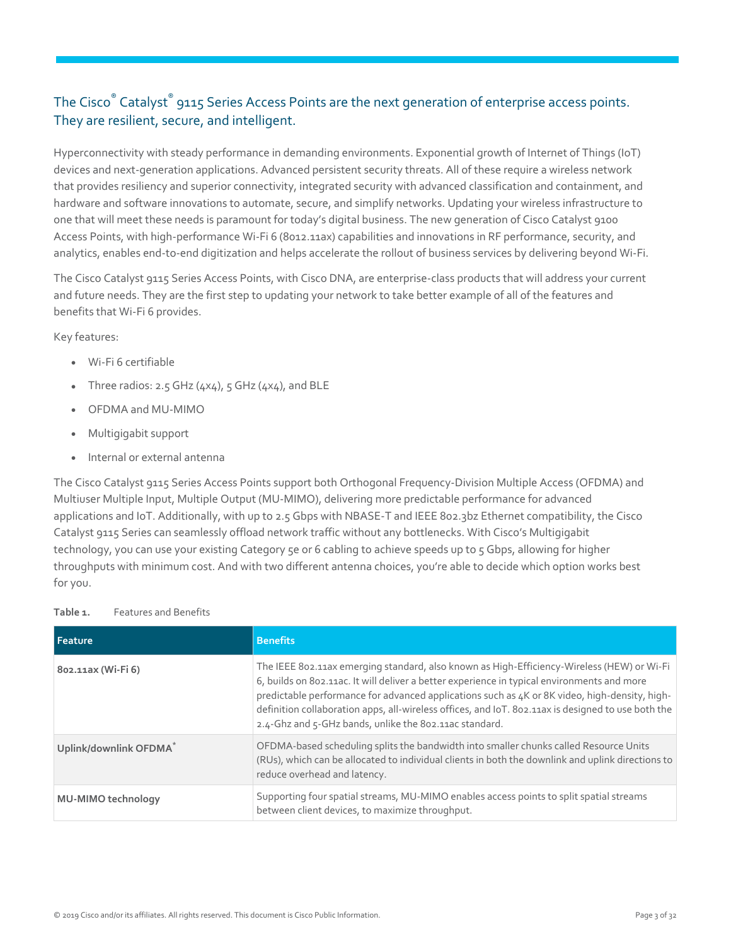#### The Cisco® Catalyst® 9115 Series Access Points are the next generation of enterprise access points. They are resilient, secure, and intelligent.

Hyperconnectivity with steady performance in demanding environments. Exponential growth of Internet of Things (IoT) devices and next-generation applications. Advanced persistent security threats. All of these require a wireless network that provides resiliency and superior connectivity, integrated security with advanced classification and containment, and hardware and software innovations to automate, secure, and simplify networks. Updating your wireless infrastructure to one that will meet these needs is paramount for today's digital business. The new generation of Cisco Catalyst 9100 Access Points, with high-performance Wi-Fi 6 (8012.11ax) capabilities and innovations in RF performance, security, and analytics, enables end-to-end digitization and helps accelerate the rollout of business services by delivering beyond Wi-Fi.

The Cisco Catalyst 9115 Series Access Points, with Cisco DNA, are enterprise-class products that will address your current and future needs. They are the first step to updating your network to take better example of all of the features and benefits that Wi-Fi 6 provides.

Key features:

- Wi-Fi 6 certifiable
- Three radios: 2.5 GHz  $(4x4)$ , 5 GHz  $(4x4)$ , and BLE
- OFDMA and MU-MIMO
- Multigigabit support
- Internal or external antenna

The Cisco Catalyst 9115 Series Access Points support both Orthogonal Frequency-Division Multiple Access (OFDMA) and Multiuser Multiple Input, Multiple Output (MU-MIMO), delivering more predictable performance for advanced applications and IoT. Additionally, with up to 2.5 Gbps with NBASE-T and IEEE 802.3bz Ethernet compatibility, the Cisco Catalyst 9115 Series can seamlessly offload network traffic without any bottlenecks. With Cisco's Multigigabit technology, you can use your existing Category 5e or 6 cabling to achieve speeds up to 5 Gbps, allowing for higher throughputs with minimum cost. And with two different antenna choices, you're able to decide which option works best for you.

#### **Table 1.** Features and Benefits

| <b>Feature</b>            | <b>Benefits</b>                                                                                                                                                                                                                                                                                                                                                                                                                                            |
|---------------------------|------------------------------------------------------------------------------------------------------------------------------------------------------------------------------------------------------------------------------------------------------------------------------------------------------------------------------------------------------------------------------------------------------------------------------------------------------------|
| 802.11ax (Wi-Fi 6)        | The IEEE 802.11ax emerging standard, also known as High-Efficiency-Wireless (HEW) or Wi-Fi<br>6, builds on 802.11ac. It will deliver a better experience in typical environments and more<br>predictable performance for advanced applications such as 4K or 8K video, high-density, high-<br>definition collaboration apps, all-wireless offices, and IoT. 802.11ax is designed to use both the<br>2.4-Ghz and 5-GHz bands, unlike the 802.11ac standard. |
| Uplink/downlink OFDMA*    | OFDMA-based scheduling splits the bandwidth into smaller chunks called Resource Units<br>(RUs), which can be allocated to individual clients in both the downlink and uplink directions to<br>reduce overhead and latency.                                                                                                                                                                                                                                 |
| <b>MU-MIMO technology</b> | Supporting four spatial streams, MU-MIMO enables access points to split spatial streams<br>between client devices, to maximize throughput.                                                                                                                                                                                                                                                                                                                 |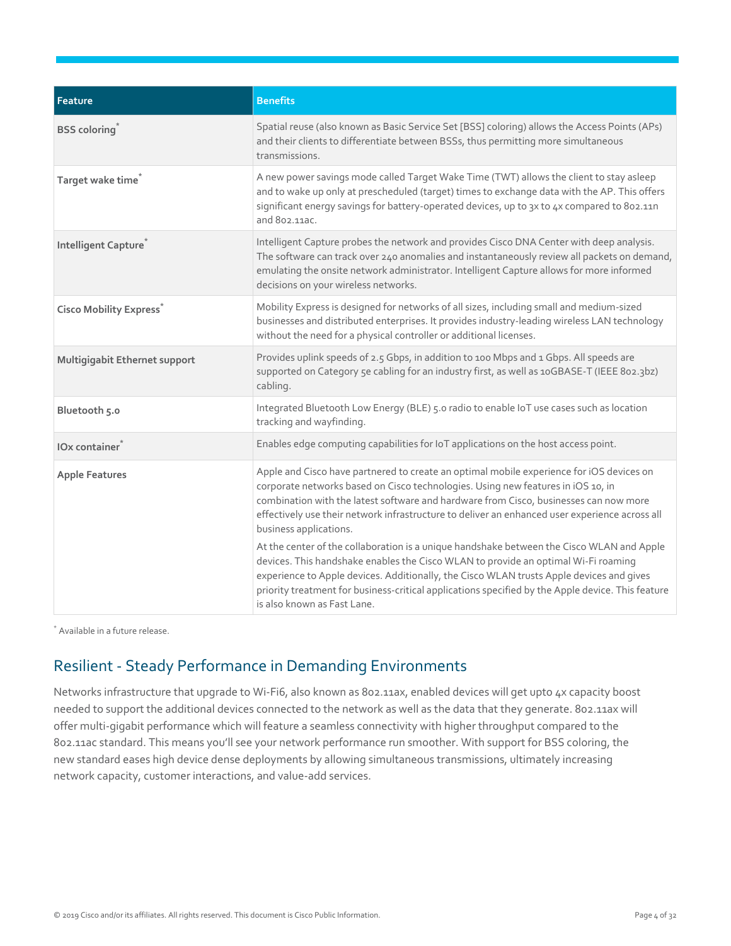| Feature                          | <b>Benefits</b>                                                                                                                                                                                                                                                                                                                                                                                                 |
|----------------------------------|-----------------------------------------------------------------------------------------------------------------------------------------------------------------------------------------------------------------------------------------------------------------------------------------------------------------------------------------------------------------------------------------------------------------|
| <b>BSS</b> coloring <sup>*</sup> | Spatial reuse (also known as Basic Service Set [BSS] coloring) allows the Access Points (APs)<br>and their clients to differentiate between BSSs, thus permitting more simultaneous<br>transmissions.                                                                                                                                                                                                           |
| Target wake time <sup>*</sup>    | A new power savings mode called Target Wake Time (TWT) allows the client to stay asleep<br>and to wake up only at prescheduled (target) times to exchange data with the AP. This offers<br>significant energy savings for battery-operated devices, up to 3x to 4x compared to 802.11n<br>and 802,11ac.                                                                                                         |
| Intelligent Capture <sup>*</sup> | Intelligent Capture probes the network and provides Cisco DNA Center with deep analysis.<br>The software can track over 240 anomalies and instantaneously review all packets on demand,<br>emulating the onsite network administrator. Intelligent Capture allows for more informed<br>decisions on your wireless networks.                                                                                     |
| <b>Cisco Mobility Express</b>    | Mobility Express is designed for networks of all sizes, including small and medium-sized<br>businesses and distributed enterprises. It provides industry-leading wireless LAN technology<br>without the need for a physical controller or additional licenses.                                                                                                                                                  |
| Multigigabit Ethernet support    | Provides uplink speeds of 2.5 Gbps, in addition to 100 Mbps and 1 Gbps. All speeds are<br>supported on Category 5e cabling for an industry first, as well as 10GBASE-T (IEEE 802.3bz)<br>cabling.                                                                                                                                                                                                               |
| Bluetooth 5.0                    | Integrated Bluetooth Low Energy (BLE) 5.0 radio to enable IoT use cases such as location<br>tracking and wayfinding.                                                                                                                                                                                                                                                                                            |
| IOx container                    | Enables edge computing capabilities for IoT applications on the host access point.                                                                                                                                                                                                                                                                                                                              |
| <b>Apple Features</b>            | Apple and Cisco have partnered to create an optimal mobile experience for iOS devices on<br>corporate networks based on Cisco technologies. Using new features in iOS 10, in<br>combination with the latest software and hardware from Cisco, businesses can now more<br>effectively use their network infrastructure to deliver an enhanced user experience across all<br>business applications.               |
|                                  | At the center of the collaboration is a unique handshake between the Cisco WLAN and Apple<br>devices. This handshake enables the Cisco WLAN to provide an optimal Wi-Fi roaming<br>experience to Apple devices. Additionally, the Cisco WLAN trusts Apple devices and gives<br>priority treatment for business-critical applications specified by the Apple device. This feature<br>is also known as Fast Lane. |

\* Available in a future release.

### <span id="page-3-0"></span>Resilient - Steady Performance in Demanding Environments

Networks infrastructure that upgrade to Wi-Fi6, also known as 802.11ax, enabled devices will get upto 4x capacity boost needed to support the additional devices connected to the network as well as the data that they generate. 802.11ax will offer multi-gigabit performance which will feature a seamless connectivity with higher throughput compared to the 802.11ac standard. This means you'll see your network performance run smoother. With support for BSS coloring, the new standard eases high device dense deployments by allowing simultaneous transmissions, ultimately increasing network capacity, customer interactions, and value-add services.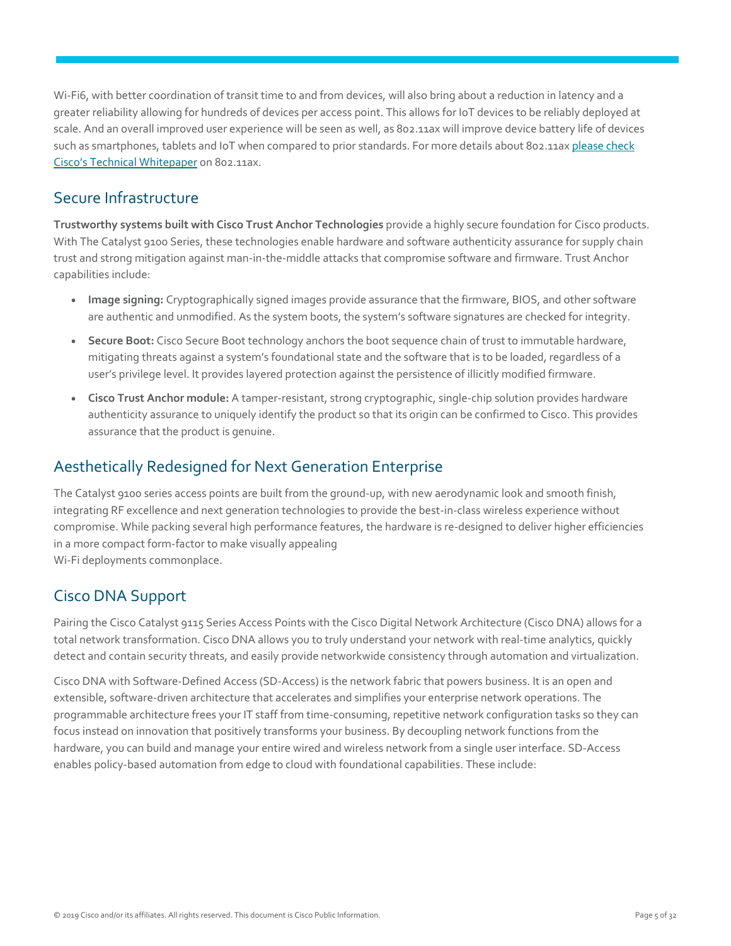Wi-Fi6, with better coordination of transit time to and from devices, will also bring about a reduction in latency and a greater reliability allowing for hundreds of devices per access point. This allows for IoT devices to be reliably deployed at scale. And an overall improved user experience will be seen as well, as 802.11ax will improve device battery life of devices such as smartphones, tablets and IoT when compared to prior standards. For more details about 802.11a[x please check](https://www.cisco.com/c/dam/en/us/products/collateral/wireless/white-paper-c11-740788.pdf)  [Cisco's Technical Whitepaper](https://www.cisco.com/c/dam/en/us/products/collateral/wireless/white-paper-c11-740788.pdf) on 802.11ax.

#### <span id="page-4-0"></span>Secure Infrastructure

**Trustworthy systems built with Cisco Trust Anchor Technologies** provide a highly secure foundation for Cisco products. With The Catalyst 9100 Series, these technologies enable hardware and software authenticity assurance for supply chain trust and strong mitigation against man-in-the-middle attacks that compromise software and firmware. Trust Anchor capabilities include:

- **Image signing:** Cryptographically signed images provide assurance that the firmware, BIOS, and other software are authentic and unmodified. As the system boots, the system's software signatures are checked for integrity.
- **Secure Boot:** Cisco Secure Boot technology anchors the boot sequence chain of trust to immutable hardware, mitigating threats against a system's foundational state and the software that is to be loaded, regardless of a user's privilege level. It provides layered protection against the persistence of illicitly modified firmware.
- **Cisco Trust Anchor module:** A tamper-resistant, strong cryptographic, single-chip solution provides hardware authenticity assurance to uniquely identify the product so that its origin can be confirmed to Cisco. This provides assurance that the product is genuine.

#### <span id="page-4-1"></span>Aesthetically Redesigned for Next Generation Enterprise

The Catalyst 9100 series access points are built from the ground-up, with new aerodynamic look and smooth finish, integrating RF excellence and next generation technologies to provide the best-in-class wireless experience without compromise. While packing several high performance features, the hardware is re-designed to deliver higher efficiencies in a more compact form-factor to make visually appealing Wi-Fi deployments commonplace.

### <span id="page-4-2"></span>Cisco DNA Support

Pairing the Cisco Catalyst 9115 Series Access Points with the Cisco Digital Network Architecture (Cisco DNA) allows for a total network transformation. Cisco DNA allows you to truly understand your network with real-time analytics, quickly detect and contain security threats, and easily provide networkwide consistency through automation and virtualization.

Cisco DNA with Software-Defined Access (SD-Access) is the network fabric that powers business. It is an open and extensible, software-driven architecture that accelerates and simplifies your enterprise network operations. The programmable architecture frees your IT staff from time-consuming, repetitive network configuration tasks so they can focus instead on innovation that positively transforms your business. By decoupling network functions from the hardware, you can build and manage your entire wired and wireless network from a single user interface. SD-Access enables policy-based automation from edge to cloud with foundational capabilities. These include: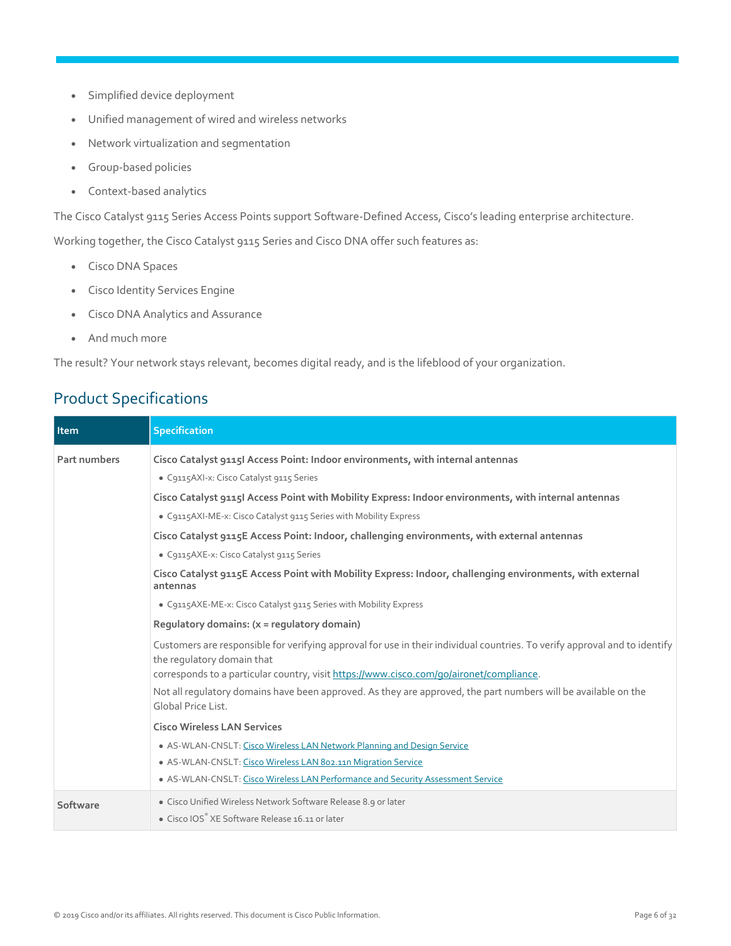- Simplified device deployment
- Unified management of wired and wireless networks
- Network virtualization and segmentation
- Group-based policies
- Context-based analytics

The Cisco Catalyst 9115 Series Access Points support Software-Defined Access, Cisco's leading enterprise architecture.

Working together, the Cisco Catalyst 9115 Series and Cisco DNA offer such features as:

- Cisco DNA Spaces
- Cisco Identity Services Engine
- Cisco DNA Analytics and Assurance
- And much more

The result? Your network stays relevant, becomes digital ready, and is the lifeblood of your organization.

### <span id="page-5-0"></span>Product Specifications

| Item         | <b>Specification</b>                                                                                                                                                                                                            |
|--------------|---------------------------------------------------------------------------------------------------------------------------------------------------------------------------------------------------------------------------------|
| Part numbers | Cisco Catalyst 9115I Access Point: Indoor environments, with internal antennas<br>· C9115AXI-x: Cisco Catalyst 9115 Series                                                                                                      |
|              | Cisco Catalyst 9115I Access Point with Mobility Express: Indoor environments, with internal antennas<br>· C9115AXI-ME-x: Cisco Catalyst 9115 Series with Mobility Express                                                       |
|              | Cisco Catalyst 9115E Access Point: Indoor, challenging environments, with external antennas<br>· C9115AXE-x: Cisco Catalyst 9115 Series                                                                                         |
|              | Cisco Catalyst 9115E Access Point with Mobility Express: Indoor, challenging environments, with external<br>antennas                                                                                                            |
|              | • C9115AXE-ME-x: Cisco Catalyst 9115 Series with Mobility Express                                                                                                                                                               |
|              | Requlatory domains: (x = requlatory domain)                                                                                                                                                                                     |
|              | Customers are responsible for verifying approval for use in their individual countries. To verify approval and to identify<br>the regulatory domain that                                                                        |
|              | corresponds to a particular country, visit https://www.cisco.com/go/aironet/compliance.<br>Not all requlatory domains have been approved. As they are approved, the part numbers will be available on the<br>Global Price List. |
|              | <b>Cisco Wireless LAN Services</b>                                                                                                                                                                                              |
|              | • AS-WLAN-CNSLT: Cisco Wireless LAN Network Planning and Design Service                                                                                                                                                         |
|              | • AS-WLAN-CNSLT: Cisco Wireless LAN 802.11n Migration Service<br>• AS-WLAN-CNSLT: Cisco Wireless LAN Performance and Security Assessment Service                                                                                |
| Software     | • Cisco Unified Wireless Network Software Release 8.9 or later<br>• Cisco IOS® XE Software Release 16.11 or later                                                                                                               |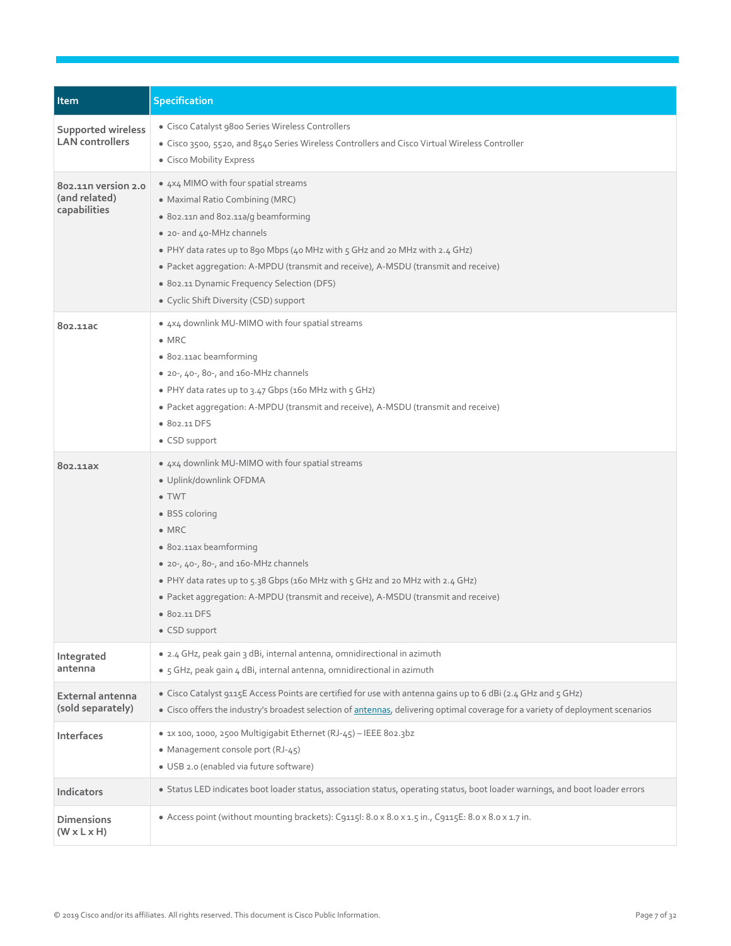| Item                                                 | <b>Specification</b>                                                                                                                                                                                                                                                                                                                                                                                                 |
|------------------------------------------------------|----------------------------------------------------------------------------------------------------------------------------------------------------------------------------------------------------------------------------------------------------------------------------------------------------------------------------------------------------------------------------------------------------------------------|
| <b>Supported wireless</b><br><b>LAN</b> controllers  | • Cisco Catalyst 9800 Series Wireless Controllers<br>• Cisco 3500, 5520, and 8540 Series Wireless Controllers and Cisco Virtual Wireless Controller<br>• Cisco Mobility Express                                                                                                                                                                                                                                      |
| 802.110 version 2.0<br>(and related)<br>capabilities | • 4x4 MIMO with four spatial streams<br>• Maximal Ratio Combining (MRC)<br>• 802.11n and 802.11a/q beamforming<br>• 20- and 40-MHz channels<br>. PHY data rates up to 890 Mbps (40 MHz with 5 GHz and 20 MHz with 2.4 GHz)<br>• Packet aggregation: A-MPDU (transmit and receive), A-MSDU (transmit and receive)<br>· 802.11 Dynamic Frequency Selection (DFS)<br>• Cyclic Shift Diversity (CSD) support             |
| 802.11ac                                             | • 4x4 downlink MU-MIMO with four spatial streams<br>$\bullet$ MRC<br>• 802.11ac beamforming<br>• 20-, 40-, 80-, and 160-MHz channels<br>• PHY data rates up to 3.47 Gbps (160 MHz with 5 GHz)<br>• Packet aggregation: A-MPDU (transmit and receive), A-MSDU (transmit and receive)<br>• 802.11 DFS<br>• CSD support                                                                                                 |
| 802.11ax                                             | • 4x4 downlink MU-MIMO with four spatial streams<br>· Uplink/downlink OFDMA<br>$\bullet$ TWT<br>• BSS coloring<br>$\bullet$ MRC<br>· 802.11ax beamforming<br>• $20 - 40 - 80 - 100$ and $160 - 100$ channels<br>• PHY data rates up to 5.38 Gbps (160 MHz with 5 GHz and 20 MHz with 2.4 GHz)<br>• Packet aggregation: A-MPDU (transmit and receive), A-MSDU (transmit and receive)<br>• 802.11 DFS<br>• CSD support |
| Integrated<br>antenna                                | • 2.4 GHz, peak gain 3 dBi, internal antenna, omnidirectional in azimuth<br>· 5 GHz, peak gain 4 dBi, internal antenna, omnidirectional in azimuth                                                                                                                                                                                                                                                                   |
| External antenna<br>(sold separately)                | • Cisco Catalyst 9115E Access Points are certified for use with antenna gains up to 6 dBi (2.4 GHz and 5 GHz)<br>• Cisco offers the industry's broadest selection of antennas, delivering optimal coverage for a variety of deployment scenarios                                                                                                                                                                     |
| Interfaces                                           | · 1x 100, 1000, 2500 Multigigabit Ethernet (RJ-45) - IEEE 802.3bz<br>• Management console port (RJ-45)<br>· USB 2.0 (enabled via future software)                                                                                                                                                                                                                                                                    |
| <b>Indicators</b>                                    | · Status LED indicates boot loader status, association status, operating status, boot loader warnings, and boot loader errors                                                                                                                                                                                                                                                                                        |
| <b>Dimensions</b><br>$(W \times L \times H)$         | • Access point (without mounting brackets): C9115l: 8.0 x 8.0 x 1.5 in., C9115E: 8.0 x 8.0 x 1.7 in.                                                                                                                                                                                                                                                                                                                 |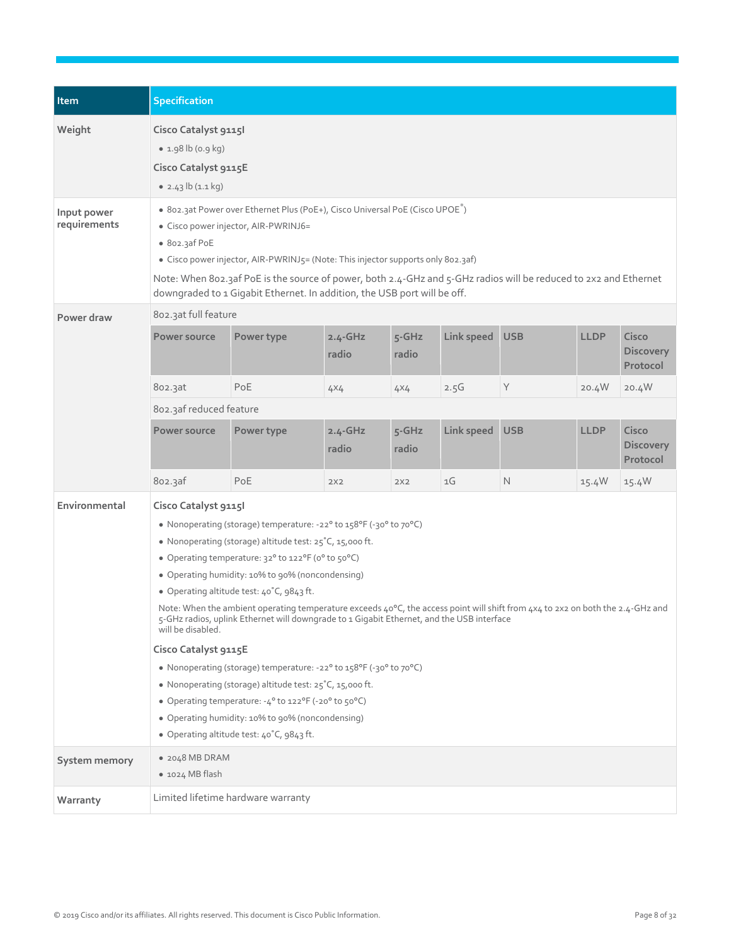| Item                        | <b>Specification</b>                                                                                                                                                                                                                                                                                                                                                                                                                                                                                                                                                                                                                                                                                                                                                                                                                                                                 |            |                      |                     |            |             |             |                                       |
|-----------------------------|--------------------------------------------------------------------------------------------------------------------------------------------------------------------------------------------------------------------------------------------------------------------------------------------------------------------------------------------------------------------------------------------------------------------------------------------------------------------------------------------------------------------------------------------------------------------------------------------------------------------------------------------------------------------------------------------------------------------------------------------------------------------------------------------------------------------------------------------------------------------------------------|------------|----------------------|---------------------|------------|-------------|-------------|---------------------------------------|
| Weight                      | Cisco Catalyst 91151<br>$\bullet$ 1.98 lb (0.9 kg)<br>Cisco Catalyst 9115E<br>$\bullet$ 2.43 lb (1.1 kg)                                                                                                                                                                                                                                                                                                                                                                                                                                                                                                                                                                                                                                                                                                                                                                             |            |                      |                     |            |             |             |                                       |
| Input power<br>requirements | • 802.3at Power over Ethernet Plus (PoE+), Cisco Universal PoE (Cisco UPOE®)<br>· Cisco power injector, AIR-PWRINJ6=<br>• 802.3af PoE<br>• Cisco power injector, AIR-PWRINJ5= (Note: This injector supports only 802.3af)<br>Note: When 802.3af PoE is the source of power, both 2.4-GHz and 5-GHz radios will be reduced to 2x2 and Ethernet<br>downgraded to 1 Gigabit Ethernet. In addition, the USB port will be off.                                                                                                                                                                                                                                                                                                                                                                                                                                                            |            |                      |                     |            |             |             |                                       |
| Power draw                  | 802.3at full feature                                                                                                                                                                                                                                                                                                                                                                                                                                                                                                                                                                                                                                                                                                                                                                                                                                                                 |            |                      |                     |            |             |             |                                       |
|                             | Power source                                                                                                                                                                                                                                                                                                                                                                                                                                                                                                                                                                                                                                                                                                                                                                                                                                                                         | Power type | $2.4 - GHz$<br>radio | $5 - G$ Hz<br>radio | Link speed | <b>USB</b>  | <b>LLDP</b> | Cisco<br><b>Discovery</b><br>Protocol |
|                             | 802.3at                                                                                                                                                                                                                                                                                                                                                                                                                                                                                                                                                                                                                                                                                                                                                                                                                                                                              | PoE        | 4×4                  | 4X4                 | 2.5G       | $\mathsf Y$ | 20.4W       | 20.4W                                 |
|                             | 802.3af reduced feature                                                                                                                                                                                                                                                                                                                                                                                                                                                                                                                                                                                                                                                                                                                                                                                                                                                              |            |                      |                     |            |             |             |                                       |
|                             | Power source                                                                                                                                                                                                                                                                                                                                                                                                                                                                                                                                                                                                                                                                                                                                                                                                                                                                         | Power type | $2.4 - GHz$<br>radio | $5 - G$ Hz<br>radio | Link speed | <b>USB</b>  | <b>LLDP</b> | Cisco<br><b>Discovery</b><br>Protocol |
|                             | 802.3af                                                                                                                                                                                                                                                                                                                                                                                                                                                                                                                                                                                                                                                                                                                                                                                                                                                                              | PoE        | 2X2                  | 2X2                 | 1G         | $\mathbb N$ | 15.4W       | 15.4W                                 |
| Environmental               | Cisco Catalyst 91151<br>• Nonoperating (storage) temperature: -22° to 158°F (-30° to 70°C)<br>• Nonoperating (storage) altitude test: 25°C, 15,000 ft.<br>• Operating temperature: 32° to 122°F (0° to 50°C)<br>• Operating humidity: 10% to 90% (noncondensing)<br>• Operating altitude test: 40°C, 9843 ft.<br>Note: When the ambient operating temperature exceeds 40°C, the access point will shift from 4x4 to 2x2 on both the 2.4-GHz and<br>5-GHz radios, uplink Ethernet will downgrade to 1 Gigabit Ethernet, and the USB interface<br>will be disabled.<br>Cisco Catalyst 9115E<br>• Nonoperating (storage) temperature: -22° to 158°F (-30° to 70°C)<br>• Nonoperating (storage) altitude test: 25°C, 15,000 ft.<br>• Operating temperature: -4° to 122°F (-20° to 50°C)<br>• Operating humidity: 10% to 90% (noncondensing)<br>• Operating altitude test: 40°C, 9843 ft. |            |                      |                     |            |             |             |                                       |
| System memory               | • 2048 MB DRAM<br>· 1024 MB flash                                                                                                                                                                                                                                                                                                                                                                                                                                                                                                                                                                                                                                                                                                                                                                                                                                                    |            |                      |                     |            |             |             |                                       |
| Warranty                    | Limited lifetime hardware warranty                                                                                                                                                                                                                                                                                                                                                                                                                                                                                                                                                                                                                                                                                                                                                                                                                                                   |            |                      |                     |            |             |             |                                       |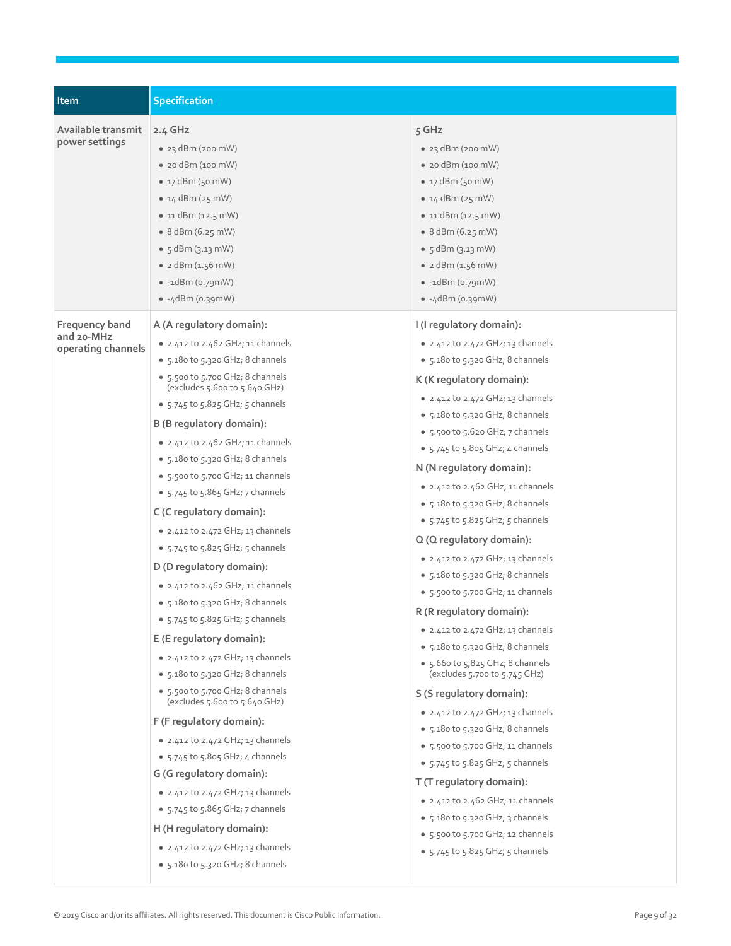| Item                                               | <b>Specification</b>                                                                                                                                                                                                                                                                                                                                                                                                                                                                                                                                                                                                                                                                                                                                                                                                                                                                                                                                                                                                                                                                                                                                                                              |                                                                                                                                                                                                                                                                                                                                                                                                                                                                                                                                                                                                                                                                                                                                                                                                                                                                                                                                                                                                                                                                                                                                                                                                         |
|----------------------------------------------------|---------------------------------------------------------------------------------------------------------------------------------------------------------------------------------------------------------------------------------------------------------------------------------------------------------------------------------------------------------------------------------------------------------------------------------------------------------------------------------------------------------------------------------------------------------------------------------------------------------------------------------------------------------------------------------------------------------------------------------------------------------------------------------------------------------------------------------------------------------------------------------------------------------------------------------------------------------------------------------------------------------------------------------------------------------------------------------------------------------------------------------------------------------------------------------------------------|---------------------------------------------------------------------------------------------------------------------------------------------------------------------------------------------------------------------------------------------------------------------------------------------------------------------------------------------------------------------------------------------------------------------------------------------------------------------------------------------------------------------------------------------------------------------------------------------------------------------------------------------------------------------------------------------------------------------------------------------------------------------------------------------------------------------------------------------------------------------------------------------------------------------------------------------------------------------------------------------------------------------------------------------------------------------------------------------------------------------------------------------------------------------------------------------------------|
| Available transmit<br>power settings               | 2.4 GHz<br>$\bullet$ 23 dBm (200 mW)<br>$\bullet$ 20 dBm (100 mW)<br>$\bullet$ 17 dBm (50 mW)<br>• $14$ dBm ( $25$ mW)<br>$\bullet$ 11 dBm (12.5 mW)<br>$\bullet$ 8 dBm (6.25 mW)<br>• $5$ dBm $(3.13)$ mW)<br>• $2$ dBm $(1.56$ mW)<br>$\bullet$ -1dBm (0.79mW)<br>$\bullet$ -4dBm (0.39mW)                                                                                                                                                                                                                                                                                                                                                                                                                                                                                                                                                                                                                                                                                                                                                                                                                                                                                                      | 5 GHz<br>$\bullet$ 23 dBm (200 mW)<br>$\bullet$ 20 dBm (100 mW)<br>$\bullet$ 17 dBm (50 mW)<br>• $14$ dBm ( $25$ mW)<br>$\bullet$ 11 dBm (12.5 mW)<br>• 8 dBm (6.25 mW)<br>• $5$ dBm $(3.13)$ mW)<br>• $2$ dBm $(1.56$ mW)<br>$\bullet$ -1dBm (0.79mW)<br>$\bullet$ -4dBm (0.39mW)                                                                                                                                                                                                                                                                                                                                                                                                                                                                                                                                                                                                                                                                                                                                                                                                                                                                                                                      |
| Frequency band<br>and 20-MHz<br>operating channels | A (A regulatory domain):<br>$\bullet$ 2.412 to 2.462 GHz; 11 channels<br>• 5.180 to 5.320 GHz; 8 channels<br>• 5.500 to 5.700 GHz; 8 channels<br>(excludes $5.600$ to $5.640$ GHz)<br>$\bullet$ 5.745 to 5.825 GHz; 5 channels<br>B (B regulatory domain):<br>$\bullet$ 2.412 to 2.462 GHz; 11 channels<br>• 5.180 to 5.320 GHz; 8 channels<br>$\bullet$ 5.500 to 5.700 GHz; 11 channels<br>$\bullet$ 5.745 to 5.865 GHz; 7 channels<br>C (C regulatory domain):<br>$\bullet$ 2.412 to 2.472 GHz; 13 channels<br>$\bullet$ 5.745 to 5.825 GHz; 5 channels<br>D (D regulatory domain):<br>• 2.412 to 2.462 GHz; 11 channels<br>• 5.180 to 5.320 GHz; 8 channels<br>• $5.745$ to $5.825$ GHz; $5$ channels<br>E (E regulatory domain):<br>$\bullet$ 2.412 to 2.472 GHz; 13 channels<br>$\bullet$ 5.180 to 5.320 GHz; 8 channels<br>• 5.500 to 5.700 GHz; 8 channels<br>(excludes 5.600 to 5.640 GHz)<br>F (F regulatory domain):<br>• 2.412 to 2.472 GHz; 13 channels<br>$\bullet$ 5.745 to 5.805 GHz; 4 channels<br>G (G regulatory domain):<br>• 2.412 to 2.472 GHz; 13 channels<br>• $5.745$ to $5.865$ GHz; 7 channels<br>H (H regulatory domain):<br>$\bullet$ 2.412 to 2.472 GHz; 13 channels | I (I regulatory domain):<br>• 2.412 to 2.472 GHz; 13 channels<br>• 5.180 to 5.320 GHz; 8 channels<br>K (K regulatory domain):<br>$\bullet$ 2.412 to 2.472 GHz; 13 channels<br>• 5.180 to 5.320 GHz; 8 channels<br>• 5.500 to 5.620 GHz; 7 channels<br>$\bullet$ 5.745 to 5.805 GHz; 4 channels<br>N (N regulatory domain):<br>$\bullet$ 2.412 to 2.462 GHz; 11 channels<br>• 5.180 to 5.320 GHz; 8 channels<br>$\bullet$ 5.745 to 5.825 GHz; 5 channels<br>Q (Q regulatory domain):<br>• 2.412 to 2.472 GHz; 13 channels<br>• 5.180 to 5.320 GHz; 8 channels<br>$\bullet$ 5.500 to 5.700 GHz; 11 channels<br>R (R regulatory domain):<br>$\bullet$ 2.412 to 2.472 GHz; 13 channels<br>• 5.180 to 5.320 GHz; 8 channels<br>• 5.660 to 5,825 GHz; 8 channels<br>(excludes $5.700$ to $5.745$ GHz)<br>S (S regulatory domain):<br>• 2.412 to 2.472 GHz; 13 channels<br>• 5.180 to 5.320 GHz; 8 channels<br>$\bullet$ 5.500 to 5.700 GHz; 11 channels<br>$\bullet$ 5.745 to 5.825 GHz; 5 channels<br>T (T regulatory domain):<br>$\bullet$ 2.412 to 2.462 GHz; 11 channels<br>• $5.180$ to $5.320$ GHz; 3 channels<br>$\bullet$ 5.500 to 5.700 GHz; 12 channels<br>$\bullet$ 5.745 to 5.825 GHz; 5 channels |
|                                                    | • 5.180 to 5.320 GHz; 8 channels                                                                                                                                                                                                                                                                                                                                                                                                                                                                                                                                                                                                                                                                                                                                                                                                                                                                                                                                                                                                                                                                                                                                                                  |                                                                                                                                                                                                                                                                                                                                                                                                                                                                                                                                                                                                                                                                                                                                                                                                                                                                                                                                                                                                                                                                                                                                                                                                         |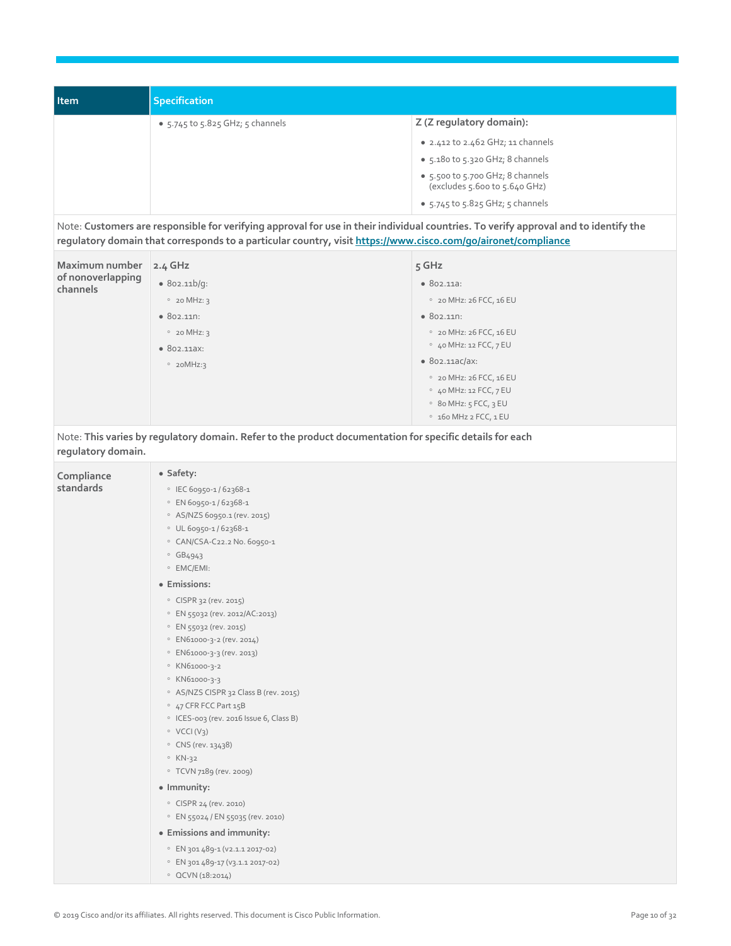| <b>Item</b> | Specification                          |                                                                   |
|-------------|----------------------------------------|-------------------------------------------------------------------|
|             | • $5.745$ to $5.825$ GHz; $5$ channels | Z (Z regulatory domain):                                          |
|             |                                        | $\bullet$ 2.412 to 2.462 GHz; 11 channels                         |
|             |                                        | • 5.180 to 5.320 GHz; 8 channels                                  |
|             |                                        | • 5.500 to 5.700 GHz; 8 channels<br>(excludes 5.600 to 5.640 GHz) |
|             |                                        | $\bullet$ 5.745 to 5.825 GHz; 5 channels                          |

Note: **Customers are responsible for verifying approval for use in their individual countries. To verify approval and to identify the regulatory domain that corresponds to a particular country, visi[t https://www.cisco.com/go/aironet/compliance](https://www.cisco.com/go/aironet/compliance)**

| Maximum number<br>of nonoverlapping<br>channels | $2.4$ GHz          | $5$ GHz                         |
|-------------------------------------------------|--------------------|---------------------------------|
|                                                 | • 802.11b/q:       | •802.11a:                       |
|                                                 | $020$ MHz: 3       | ° 20 MHz: 26 FCC, 16 EU         |
|                                                 | $\bullet$ 802.110: | • 802.11n:                      |
|                                                 | $020$ MHz: 3       | ° 20 MHz: 26 FCC, 16 EU         |
|                                                 | • 802.11aX:        | $\circ$ 40 MHz: 12 FCC, 7 EU    |
|                                                 | $°$ 20MHz:3        | • 802.11aC/ax:                  |
|                                                 |                    | ° 20 MHz: 26 FCC, 16 EU         |
|                                                 |                    | $\circ$ 40 MHz: 12 FCC, 7 EU    |
|                                                 |                    | $\circ$ 80 MHz: $5$ FCC, $3$ EU |
|                                                 |                    | $0$ 160 MHz 2 FCC, 1 EU         |

Note: **This varies by regulatory domain. Refer to the product documentation for specific details for each regulatory domain.**

| Compliance | · Safety:                                          |
|------------|----------------------------------------------------|
| standards  | • IEC 60950-1/62368-1                              |
|            | © EN 60950-1/62368-1                               |
|            | ○ AS/NZS 60950.1 (rev. 2015)                       |
|            | $0$ UL 60950-1/62368-1                             |
|            | © CAN/CSA-C22.2 No. 60950-1                        |
|            | $\circ$ GB4943                                     |
|            | ○ EMC/EMI:                                         |
|            | · Emissions:                                       |
|            | © CISPR 32 (rev. 2015)                             |
|            | © EN 55032 (rev. 2012/AC:2013)                     |
|            | © EN 55032 (rev. 2015)                             |
|            | © EN61000-3-2 (rev. 2014)                          |
|            | © EN61000-3-3 (rev. 2013)                          |
|            | © KN61000-3-2                                      |
|            | ° KN61000-3-3                                      |
|            | <sup>o</sup> AS/NZS CISPR 32 Class B (rev. 2015)   |
|            | <sup>o</sup> 47 CFR FCC Part 15B                   |
|            | <sup>o</sup> ICES-003 (rev. 2016 Issue 6, Class B) |
|            | $\circ$ VCCI(V <sub>3</sub> )                      |
|            | ○ CNS (rev. 13438)                                 |
|            | $\circ$ KN-32                                      |
|            | ○ TCVN 7189 (rev. 2009)                            |
|            | · Immunity:                                        |
|            | © CISPR 24 (rev. 2010)                             |
|            | <sup>o</sup> EN 55024 / EN 55035 (rev. 2010)       |
|            | • Emissions and immunity:                          |
|            | © EN 301 489-1 (V2.1.1 2017-02)                    |
|            | <sup>o</sup> EN 301 489-17 (v3.1.1 2017-02)        |
|            | OCVN(18:2014)                                      |
|            |                                                    |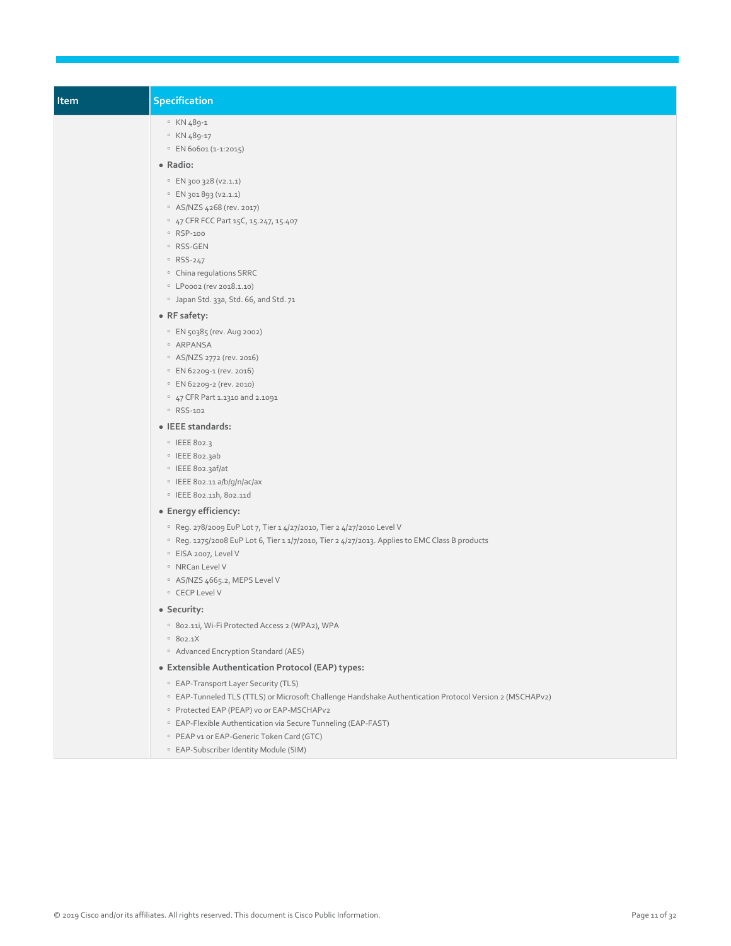| <b>Item</b> | Specification                                                                                                                                                                                                                                                                                                     |
|-------------|-------------------------------------------------------------------------------------------------------------------------------------------------------------------------------------------------------------------------------------------------------------------------------------------------------------------|
|             | ° KN 489-1<br>° KN 489-17<br>$\circ$ EN 60601 (1-1:2015)                                                                                                                                                                                                                                                          |
|             | • Radio:<br>© EN 300 328 (V2.1.1)<br>C EN 301 893 (V2.1.1)<br>○ AS/NZS 4268 (rev. 2017)<br>• 47 CFR FCC Part 15C, 15.247, 15.407<br>· RSP-100<br>∘ RSS-GEN<br>$\circ$ RSS-247<br>• China regulations SRRC<br>© LP0002 (rev 2018.1.10)<br><sup>o</sup> Japan Std. 33a, Std. 66, and Std. 71                        |
|             | • RF safety:<br>· EN 50385 (rev. Aug 2002)<br>· ARPANSA<br>○ AS/NZS 2772 (rev. 2016)<br>© EN 62209-1 (rev. 2016)<br>© EN 62209-2 (rev. 2010)<br>° 47 CFR Part 1.1310 and 2.1091<br>° RSS-102                                                                                                                      |
|             | • IEEE standards:                                                                                                                                                                                                                                                                                                 |
|             | · IEEE 802.3<br>· IEEE 802.3ab<br>O IEEE 802.3af/at<br><sup>o</sup> IEEE 802.11 a/b/g/n/ac/ax<br>· IEEE 802.11h, 802.11d                                                                                                                                                                                          |
|             | • Energy efficiency:                                                                                                                                                                                                                                                                                              |
|             | <sup>o</sup> Reg. 278/2009 EuP Lot 7, Tier 1 4/27/2010, Tier 2 4/27/2010 Level V<br><sup>o</sup> Reg. 1275/2008 EuP Lot 6, Tier 1 1/7/2010, Tier 2 4/27/2013. Applies to EMC Class B products<br><sup>o</sup> EISA 2007, Level V<br>· NRCan Level V<br><sup>o</sup> AS/NZS 4665.2, MEPS Level V<br>○ CECP Level V |
|             | • Security:<br><sup>o</sup> 802.11i, Wi-Fi Protected Access 2 (WPA2), WPA<br>0802.1X<br><sup>o</sup> Advanced Encryption Standard (AES)                                                                                                                                                                           |
|             | • Extensible Authentication Protocol (EAP) types:<br>○ EAP-Transport Layer Security (TLS)<br><sup>o</sup> EAP-Tunneled TLS (TTLS) or Microsoft Challenge Handshake Authentication Protocol Version 2 (MSCHAPv2)                                                                                                   |
|             | <sup>o</sup> Protected EAP (PEAP) vo or EAP-MSCHAPv2<br>○ EAP-Flexible Authentication via Secure Tunneling (EAP-FAST)<br><sup>o</sup> PEAP v1 or EAP-Generic Token Card (GTC)<br><sup>o</sup> EAP-Subscriber Identity Module (SIM)                                                                                |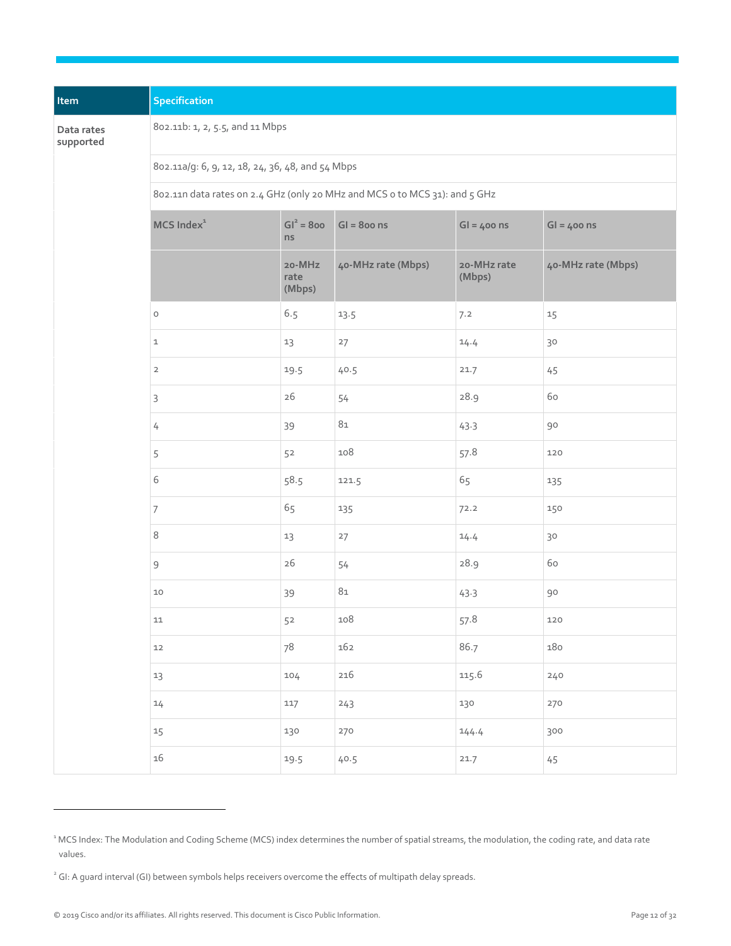| Item                    | Specification                                                              |                          |                    |                       |                    |  |  |
|-------------------------|----------------------------------------------------------------------------|--------------------------|--------------------|-----------------------|--------------------|--|--|
| Data rates<br>supported | 802.11b: 1, 2, 5.5, and 11 Mbps                                            |                          |                    |                       |                    |  |  |
|                         | 802.11a/g: 6, 9, 12, 18, 24, 36, 48, and 54 Mbps                           |                          |                    |                       |                    |  |  |
|                         | 802.11n data rates on 2.4 GHz (only 20 MHz and MCS o to MCS 31): and 5 GHz |                          |                    |                       |                    |  |  |
|                         | MCS Index <sup>1</sup>                                                     | $GI^2 = 800$<br>ns       | $GI = 800$ ns      | $GI = 400$ ns         | $GI = 400$ ns      |  |  |
|                         |                                                                            | 20-MHz<br>rate<br>(Mbps) | 40-MHz rate (Mbps) | 20-MHz rate<br>(Mbps) | 40-MHz rate (Mbps) |  |  |
|                         | $\mathsf O$                                                                | 6.5                      | 13.5               | 7.2                   | 15                 |  |  |
|                         | $\mathbf 1$                                                                | 13                       | 27                 | 14.4                  | $30$               |  |  |
|                         | $\overline{2}$                                                             | 19.5                     | 40.5               | 21.7                  | 45                 |  |  |
|                         | 3                                                                          | 26                       | 54                 | 28.9                  | 60                 |  |  |
|                         | $\overline{4}$                                                             | 39                       | 81                 | 43.3                  | 90                 |  |  |
|                         | 5                                                                          | 52                       | 108                | 57.8                  | 120                |  |  |
|                         | 6                                                                          | 58.5                     | 121.5              | 65                    | 135                |  |  |
|                         | $\overline{7}$                                                             | 65                       | 135                | 72.2                  | 150                |  |  |
|                         | 8                                                                          | 13                       | 27                 | 14.4                  | 30                 |  |  |
|                         | $\mathsf 9$                                                                | 26                       | 54                 | 28.9                  | 60                 |  |  |
|                         | $10$                                                                       | 39                       | $81\,$             | 43.3                  | 90                 |  |  |
|                         | 11                                                                         | 52                       | 108                | 57.8                  | 120                |  |  |
|                         | 12                                                                         | 78                       | 162                | 86.7                  | 180                |  |  |
|                         | 13                                                                         | 104                      | 216                | 115.6                 | 240                |  |  |
|                         | 14                                                                         | 117                      | 243                | 130                   | 270                |  |  |
|                         | 15                                                                         | 130                      | 270                | 144.4                 | 300                |  |  |
|                         | 16                                                                         | 19.5                     | 40.5               | 21.7                  | 45                 |  |  |

l.

<sup>&</sup>lt;sup>1</sup> MCS Index: The Modulation and Coding Scheme (MCS) index determines the number of spatial streams, the modulation, the coding rate, and data rate values.

<sup>&</sup>lt;sup>2</sup> GI: A guard interval (GI) between symbols helps receivers overcome the effects of multipath delay spreads.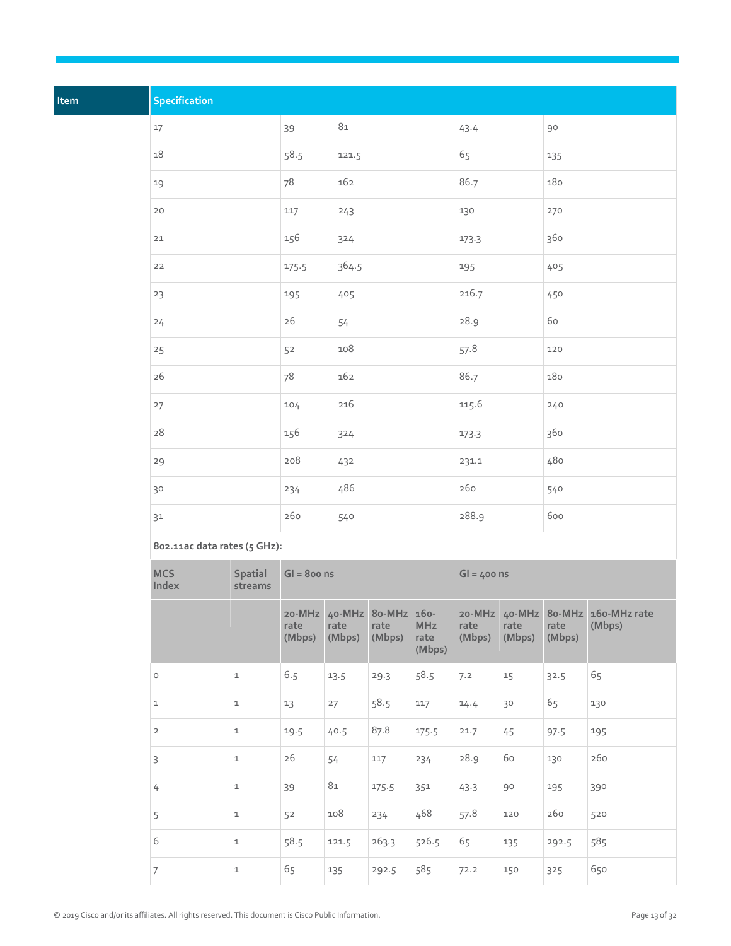| Item | Specification                |                    |                |                |                                             |                              |                |                |                |                                             |  |
|------|------------------------------|--------------------|----------------|----------------|---------------------------------------------|------------------------------|----------------|----------------|----------------|---------------------------------------------|--|
|      | 17                           |                    | 39             | $8\mathtt{1}$  |                                             |                              | 43.4           |                | 90             |                                             |  |
|      | 18                           |                    | 58.5           | 121.5          |                                             |                              | 65             |                | 135            |                                             |  |
|      | 19                           |                    | 78             | 162            |                                             |                              | 86.7           |                | 180            |                                             |  |
|      | 20                           |                    | 117            | 243            |                                             |                              | 130            |                | 270            |                                             |  |
|      | 21                           |                    | 156            | 324            |                                             |                              | 173.3          |                | 360            |                                             |  |
|      | $22$                         |                    | 175.5          | 364.5          |                                             |                              | 195            |                | 405            |                                             |  |
|      | 23                           |                    | 195            | 405            |                                             |                              | 216.7          |                | 450            |                                             |  |
|      | 24                           |                    | 26             | 54             |                                             |                              | 28.9           |                | 60             |                                             |  |
|      | 25                           | 52                 |                | 108            |                                             |                              | 57.8           |                | 120            |                                             |  |
|      | 26                           | 78                 |                | 162            |                                             |                              | 86.7           |                | 180            |                                             |  |
|      | 27                           |                    | 104            | 216            |                                             |                              | 115.6          |                | 240            |                                             |  |
|      | $28\,$                       |                    | 156            | 324            |                                             |                              | 173.3          |                | 360            |                                             |  |
|      | 29                           |                    | 208            | 432            |                                             |                              | 231.1          |                | 480            |                                             |  |
|      | 30                           |                    | 234            | 486            |                                             |                              | 260            |                | 540            |                                             |  |
|      | 31                           |                    | 260            | 540            |                                             |                              | 288.9          |                | 600            |                                             |  |
|      | 802.11ac data rates (5 GHz): |                    |                |                |                                             |                              |                |                |                |                                             |  |
|      | <b>MCS</b><br>Index          | Spatial<br>streams | $GI = 800$ ns  |                |                                             |                              |                | $GI = 400$ ns  |                |                                             |  |
|      |                              |                    | rate<br>(Mbps) | rate<br>(Mbps) | 20-MHz 40-MHz 80-MHz 160-<br>rate<br>(Mbps) | <b>MHz</b><br>rate<br>(Mbps) | rate<br>(Mbps) | rate<br>(Mbps) | rate<br>(Mbps) | 20-MHz 40-MHz 80-MHz 160-MHz rate<br>(Mbps) |  |
|      | $\circ$                      | $\mathtt 1$        | 6.5            | 13.5           | 29.3                                        | 58.5                         | 7.2            | 15             | 32.5           | 65                                          |  |
|      | $\mathtt 1$                  | $\mathbf{1}$       | 13             | 27             | 58.5                                        | 117                          | 14.4           | 30             | 65             | 130                                         |  |
|      | $\overline{2}$               | $\mathtt 1$        | 19.5           | 40.5           | 87.8                                        | 175.5                        | 21.7           | 45             | 97.5           | 195                                         |  |
|      | $\mathsf{3}$                 | $\mathbf 1$        | $26\,$         | 54             | 117                                         | 234                          | 28.9           | $60$           | 130            | 260                                         |  |
|      | $\sqrt{ }$                   | $\mathbf{1}$       | 39             | $81\,$         | 175.5                                       | 351                          | 43.3           | 90             | 195            | 390                                         |  |
|      | 5                            | $\mathbf{1}$       | 52             | 108            | 234                                         | 468                          | 57.8           | 120            | 260            | 520                                         |  |
|      | 6                            | $\mathtt 1$        | 58.5           | 121.5          | 263.3                                       | 526.5                        | 65             | 135            | 292.5          | 585                                         |  |
|      | $7\overline{ }$              | $\mathbf{1}$       | 65             | 135            | 292.5                                       | 585                          | 72.2           | 150            | 325            | 650                                         |  |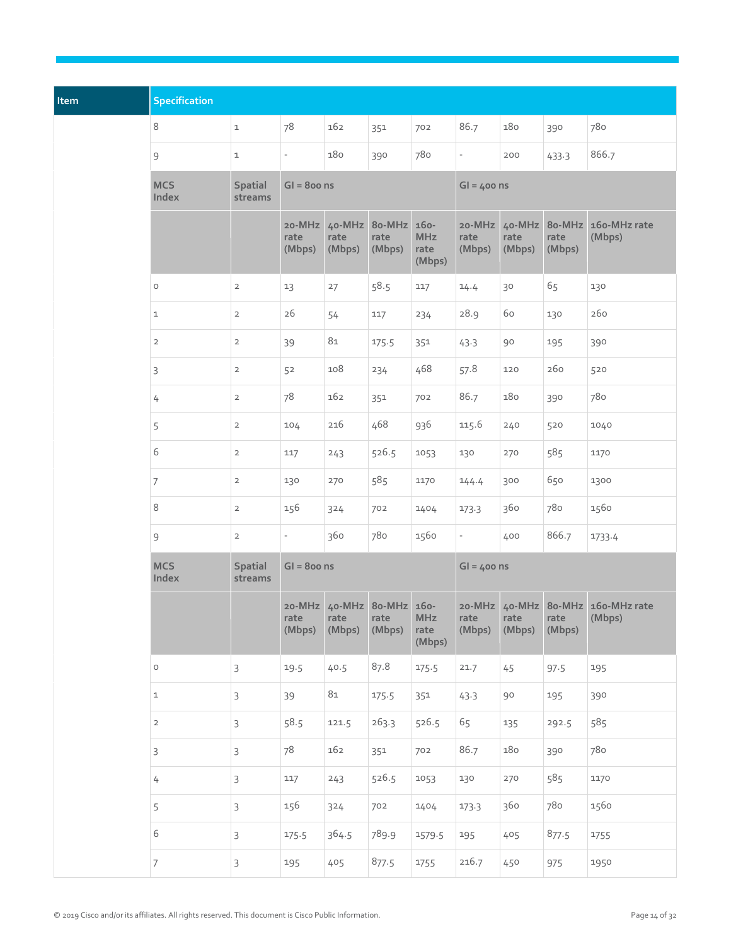| Item | <b>Specification</b> |                           |                          |                                             |                |                              |                          |                |                |                                             |
|------|----------------------|---------------------------|--------------------------|---------------------------------------------|----------------|------------------------------|--------------------------|----------------|----------------|---------------------------------------------|
|      | $\,8\,$              | $\mathbf 1$               | 78                       | 162                                         | 351            | 702                          | 86.7                     | 180            | 390            | 780                                         |
|      | $\mathsf 9$          | $\mathbf 1$               | $\overline{\phantom{a}}$ | 180                                         | 390            | 780                          | $\overline{\phantom{a}}$ | 200            | 433.3          | 866.7                                       |
|      | <b>MCS</b><br>Index  | Spatial<br>streams        | $GI = 800$ ns            |                                             |                |                              | $GI = 400$ ns            |                |                |                                             |
|      |                      |                           | 20-MHz<br>rate<br>(Mbps) | 40-MHz 80-MHz 160-<br>rate<br>(Mbps)        | rate<br>(Mbps) | <b>MHz</b><br>rate<br>(Mbps) | 20-MHz<br>rate<br>(Mbps) | rate<br>(Mbps) | rate<br>(Mbps) | 40-MHz 80-MHz 160-MHz rate<br>(Mbps)        |
|      | $\circ$              | $\overline{2}$            | 13                       | 27                                          | 58.5           | 117                          | 14.4                     | 30             | 65             | 130                                         |
|      | $\mathbf{1}$         | $\overline{2}$            | 26                       | 54                                          | 117            | 234                          | 28.9                     | 60             | 130            | 260                                         |
|      | $\overline{2}$       | $\overline{2}$            | 39                       | $81\,$                                      | 175.5          | 351                          | 43.3                     | 90             | 195            | 390                                         |
|      | 3                    | $\overline{2}$            | 52                       | 108                                         | 234            | 468                          | 57.8                     | 120            | 260            | 520                                         |
|      | $\overline{4}$       | $\overline{2}$            | 78                       | 162                                         | 351            | 702                          | 86.7                     | 180            | 390            | 780                                         |
|      | 5                    | $\overline{2}$            | 104                      | 216                                         | 468            | 936                          | 115.6                    | 240            | 520            | 1040                                        |
|      | $6\,$                | $\overline{2}$            | 117                      | 243                                         | 526.5          | 1053                         | 130                      | 270            | 585            | 1170                                        |
|      | $\overline{7}$       | $\overline{2}$            | 130                      | 270                                         | 585            | 1170                         | 144.4                    | 300            | 650            | 1300                                        |
|      | $\,8\,$              | $\overline{2}$            | 156                      | 324                                         | 702            | 1404                         | 173.3                    | 360            | 780            | 1560                                        |
|      | $\mathsf 9$          | $\overline{2}$            | $\overline{\phantom{a}}$ | 360                                         | 780            | 1560                         | $\overline{\phantom{0}}$ | 400            | 866.7          | 1733.4                                      |
|      | <b>MCS</b><br>Index  | <b>Spatial</b><br>streams | $GI = 800$ ns            |                                             |                |                              | $GI = 400$ ns            |                |                |                                             |
|      |                      |                           | rate<br>(Mbps)           | 20-MHz 40-MHz 80-MHz 160-<br>rate<br>(Mbps) | rate<br>(Mbps) | <b>MHz</b><br>rate<br>(Mbps) | rate<br>(Mbps)           | rate<br>(Mbps) | rate<br>(Mbps) | 20-MHz 40-MHz 80-MHz 160-MHz rate<br>(Mbps) |
|      | $\mathsf O$          | $\mathsf{3}$              | 19.5                     | 40.5                                        | 87.8           | 175.5                        | 21.7                     | 45             | 97.5           | 195                                         |
|      | $\mathbf 1$          | 3                         | 39                       | 81                                          | 175.5          | 351                          | 43.3                     | 90             | 195            | 390                                         |
|      | $\overline{2}$       | $\mathsf{3}$              | 58.5                     | 121.5                                       | 263.3          | 526.5                        | 65                       | 135            | 292.5          | 585                                         |
|      | $\mathsf 3$          | $\mathsf{3}$              | 78                       | 162                                         | 351            | 702                          | 86.7                     | 180            | 390            | 780                                         |
|      | 4                    | 3                         | 117                      | 243                                         | 526.5          | 1053                         | 130                      | 270            | 585            | 1170                                        |
|      | 5                    | 3                         | 156                      | 324                                         | 702            | 1404                         | 173.3                    | 360            | 780            | 1560                                        |
|      | $\,$ 6 $\,$          | 3                         | 175.5                    | 364.5                                       | 789.9          | 1579.5                       | 195                      | 405            | 877.5          | 1755                                        |
|      | $7\overline{ }$      | 3                         | 195                      | 405                                         | 877.5          | 1755                         | 216.7                    | 450            | 975            | 1950                                        |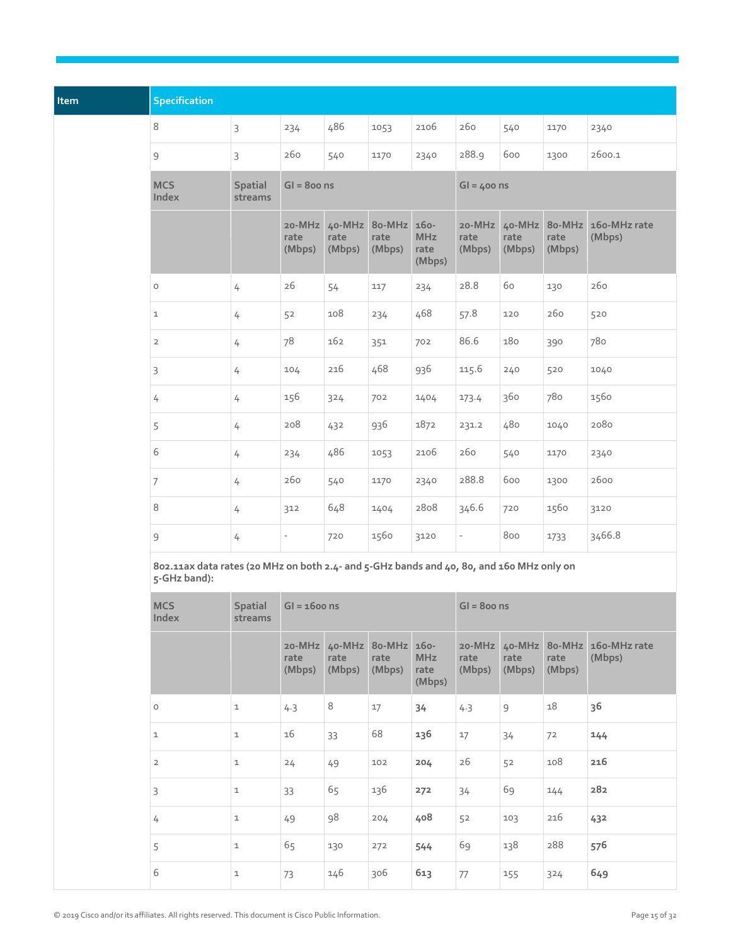| Item | <b>Specification</b>                                                                                     |                           |                          |                |                                             |                              |                |                |                |                                             |  |
|------|----------------------------------------------------------------------------------------------------------|---------------------------|--------------------------|----------------|---------------------------------------------|------------------------------|----------------|----------------|----------------|---------------------------------------------|--|
|      | 8                                                                                                        | $\mathsf{3}$              | 234                      | 486            | 1053                                        | 2106                         | 260            | 540            | 1170           | 2340                                        |  |
|      | 9                                                                                                        | $\mathsf{3}$              | 260                      | 540            | 1170                                        | 2340                         | 288.9          | 600            | 1300           | 2600.1                                      |  |
|      | <b>MCS</b><br>Index                                                                                      | <b>Spatial</b><br>streams | $GI = 800$ ns            |                |                                             |                              | $GI = 400$ ns  |                |                |                                             |  |
|      |                                                                                                          |                           | 20-MHz<br>rate<br>(Mbps) | rate<br>(Mbps) | 40-MHz 80-MHz 160-<br>rate<br>(Mbps)        | <b>MHz</b><br>rate<br>(Mbps) | rate<br>(Mbps) | rate<br>(Mbps) | rate<br>(Mbps) | 20-MHz 40-MHz 80-MHz 160-MHz rate<br>(Mbps) |  |
|      | $\circ$                                                                                                  | 4                         | 26                       | 54             | 117                                         | 234                          | 28.8           | 60             | 130            | 260                                         |  |
|      | $\mathbf{1}$                                                                                             | 4                         | 52                       | 108            | 234                                         | 468                          | 57.8           | 120            | 260            | 520                                         |  |
|      | $\overline{2}$                                                                                           | $\overline{4}$            | 78                       | 162            | 351                                         | 702                          | 86.6           | 180            | 390            | 780                                         |  |
|      | 3                                                                                                        | $\overline{4}$            | 104                      | 216            | 468                                         | 936                          | 115.6          | 240            | 520            | 1040                                        |  |
|      | 4                                                                                                        | 4                         | 156                      | 324            | 702                                         | 1404                         | 173.4          | 360            | 780            | 1560                                        |  |
|      | 5                                                                                                        | 4                         | 208                      | 432            | 936                                         | 1872                         | 231.2          | 480            | 1040           | 2080                                        |  |
|      | 6                                                                                                        | $\overline{4}$            | 234                      | 486            | 1053                                        | 2106                         | 260            | 540            | 1170           | 2340                                        |  |
|      | $\overline{7}$                                                                                           | $\overline{4}$            | 260                      | 540            | 1170                                        | 2340                         | 288.8          | 600            | 1300           | 2600                                        |  |
|      | 8                                                                                                        | 4                         | 312                      | 648            | 1404                                        | 2808                         | 346.6          | 720            | 1560           | 3120                                        |  |
|      | $\mathsf 9$                                                                                              | $\overline{4}$            |                          | 720            | 1560                                        | 3120                         |                | 800            | 1733           | 3466.8                                      |  |
|      | 802.11ax data rates (20 MHz on both 2.4- and 5-GHz bands and 40, 80, and 160 MHz only on<br>5-GHz band): |                           |                          |                |                                             |                              |                |                |                |                                             |  |
|      | <b>MCS</b><br>Index                                                                                      | Spatial<br>streams        | $GI = 1600$ ns           |                |                                             |                              | $GI = 800$ ns  |                |                |                                             |  |
|      |                                                                                                          |                           | rate<br>(Mbps)           | rate<br>(Mbps) | 20-MHz 40-MHz 80-MHz 160-<br>rate<br>(Mbps) | <b>MHz</b><br>rate<br>(Mbps) | rate<br>(Mbps) | rate<br>(Mbps) | rate<br>(Mbps) | 20-MHz 40-MHz 80-MHz 160-MHz rate<br>(Mbps) |  |
|      | $\circ$                                                                                                  | $\mathbf 1$               | 4.3                      | 8              | 17                                          | 34                           | 4.3            | $\overline{9}$ | 18             | 36                                          |  |
|      | $\mathbf 1$                                                                                              | $\mathbf 1$               | 16                       | 33             | 68                                          | 136                          | 17             | 34             | 72             | 144                                         |  |
|      | $\overline{2}$                                                                                           | $\mathtt 1$               | 24                       | 49             | 102                                         | 204                          | 26             | 52             | 108            | 216                                         |  |
|      | $\mathsf{3}$                                                                                             | $\mathtt 1$               | 33                       | 65             | 136                                         | 272                          | 34             | 69             | 144            | 282                                         |  |
|      | $\overline{4}$                                                                                           | $\mathtt 1$               | 49                       | 98             | 204                                         | 408                          | 52             | 103            | 216            | 432                                         |  |
|      | 5                                                                                                        | $\mathtt 1$               | 65                       | 130            | 272                                         | 544                          | 69             | 138            | 288            | 576                                         |  |
|      | 6                                                                                                        | $\mathtt 1$               | 73                       | 146            | 306                                         | 613                          | 77             | 155            | 324            | 649                                         |  |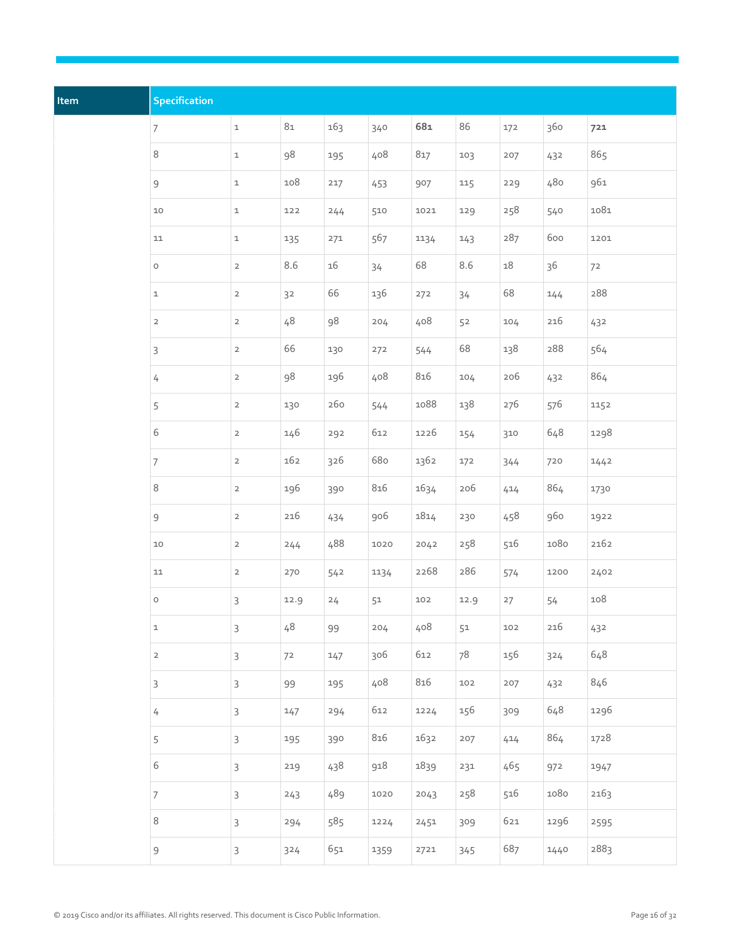| Item | Specification    |                |        |        |      |      |      |        |      |      |
|------|------------------|----------------|--------|--------|------|------|------|--------|------|------|
|      | $\boldsymbol{7}$ | $\mathtt 1$    | $81\,$ | 163    | 340  | 681  | 86   | 172    | 360  | 721  |
|      | $\,8\,$          | $\mathtt 1$    | 98     | 195    | 408  | 817  | 103  | 207    | 432  | 865  |
|      | $\mathsf 9$      | $\mathtt{1}$   | 108    | 217    | 453  | 907  | 115  | 229    | 480  | 961  |
|      | $10$             | $\mathtt 1$    | 122    | 244    | 510  | 1021 | 129  | 258    | 540  | 1081 |
|      | 11               | $\mathtt 1$    | 135    | 271    | 567  | 1134 | 143  | 287    | 600  | 1201 |
|      | $\circ$          | $\overline{2}$ | 8.6    | $16\,$ | 34   | 68   | 8.6  | $18\,$ | 36   | 72   |
|      | $\mathbf{1}$     | $\overline{2}$ | 32     | 66     | 136  | 272  | 34   | 68     | 144  | 288  |
|      | $\mathsf{2}$     | $\overline{2}$ | 48     | 98     | 204  | 408  | 52   | 104    | 216  | 432  |
|      | 3                | $\overline{2}$ | 66     | 130    | 272  | 544  | 68   | 138    | 288  | 564  |
|      | $\sqrt{ }$       | $\overline{2}$ | 98     | 196    | 408  | 816  | 104  | 206    | 432  | 864  |
|      | 5                | $\overline{2}$ | 130    | 260    | 544  | 1088 | 138  | 276    | 576  | 1152 |
|      | 6                | $\overline{2}$ | 146    | 292    | 612  | 1226 | 154  | 310    | 648  | 1298 |
|      | $\overline{7}$   | $\overline{2}$ | 162    | 326    | 680  | 1362 | 172  | 344    | 720  | 1442 |
|      | 8                | $\overline{2}$ | 196    | 390    | 816  | 1634 | 206  | 414    | 864  | 1730 |
|      | $\mathsf 9$      | $\overline{2}$ | 216    | 434    | 906  | 1814 | 230  | 458    | 960  | 1922 |
|      | $10$             | $\overline{2}$ | 244    | 488    | 1020 | 2042 | 258  | 516    | 1080 | 2162 |
|      | $11\,$           | $\overline{2}$ | 270    | 542    | 1134 | 2268 | 286  | 574    | 1200 | 2402 |
|      | $\circ$          | $\mathsf{3}$   | 12.9   | 24     | 51   | 102  | 12.9 | 27     | 54   | 108  |
|      | $\mathbf{1}$     | $\mathsf{3}$   | 48     | 99     | 204  | 408  | 51   | 102    | 216  | 432  |
|      | $\mathsf{2}$     | 3              | 72     | 147    | 306  | 612  | 78   | 156    | 324  | 648  |
|      | 3                | $\mathsf{3}$   | 99     | 195    | 408  | 816  | 102  | 207    | 432  | 846  |
|      | $\overline{4}$   | $\mathsf{3}$   | 147    | 294    | 612  | 1224 | 156  | 309    | 648  | 1296 |
|      | 5                | $\mathsf{3}$   | 195    | 390    | 816  | 1632 | 207  | 414    | 864  | 1728 |
|      | $\,$ 6 $\,$      | 3              | 219    | 438    | 918  | 1839 | 231  | 465    | 972  | 1947 |
|      | $\boldsymbol{7}$ | $\mathsf{3}$   | 243    | 489    | 1020 | 2043 | 258  | 516    | 1080 | 2163 |
|      | $\,8\,$          | $\mathsf{3}$   | 294    | 585    | 1224 | 2451 | 309  | 621    | 1296 | 2595 |
|      | $\mathsf 9$      | $\mathsf{3}$   | 324    | 651    | 1359 | 2721 | 345  | 687    | 1440 | 2883 |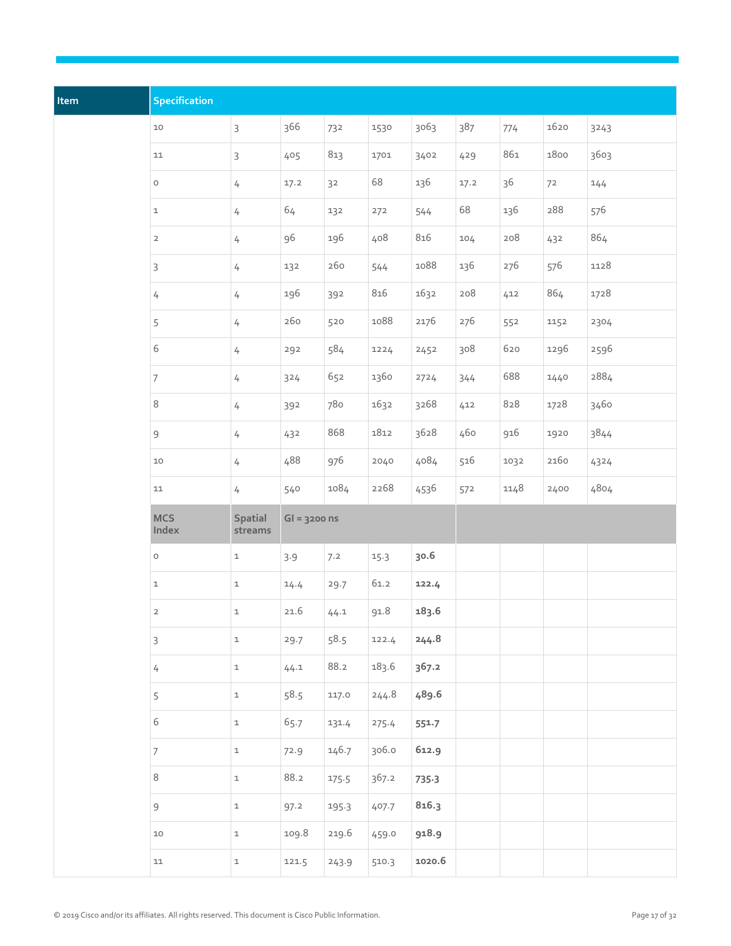| Item | <b>Specification</b> |                    |                |       |       |         |      |      |      |      |
|------|----------------------|--------------------|----------------|-------|-------|---------|------|------|------|------|
|      | $10$                 | $\mathsf{3}$       | 366            | 732   | 1530  | 3063    | 387  | 774  | 1620 | 3243 |
|      | $11\,$               | 3                  | 405            | 813   | 1701  | 3402    | 429  | 861  | 1800 | 3603 |
|      | $\circ$              | $\overline{4}$     | 17.2           | 32    | 68    | 136     | 17.2 | 36   | 72   | 144  |
|      | $\mathtt 1$          | $\overline{4}$     | $64$           | 132   | 272   | 544     | 68   | 136  | 288  | 576  |
|      | $\mathsf{2}$         | $\overline{4}$     | 96             | 196   | 408   | 816     | 104  | 208  | 432  | 864  |
|      | 3                    | $\overline{4}$     | 132            | 260   | 544   | 1088    | 136  | 276  | 576  | 1128 |
|      | 4                    | $\overline{4}$     | 196            | 392   | 816   | 1632    | 208  | 412  | 864  | 1728 |
|      | 5                    | $\overline{4}$     | 260            | 520   | 1088  | 2176    | 276  | 552  | 1152 | 2304 |
|      | 6                    | $\overline{4}$     | 292            | 584   | 1224  | 2452    | 308  | 620  | 1296 | 2596 |
|      | $\overline{7}$       | $\overline{4}$     | 324            | 652   | 1360  | 2724    | 344  | 688  | 1440 | 2884 |
|      | $\,8\,$              | $\overline{4}$     | 392            | 780   | 1632  | 3268    | 412  | 828  | 1728 | 3460 |
|      | $\mathsf 9$          | $\overline{4}$     | 432            | 868   | 1812  | 3628    | 460  | 916  | 1920 | 3844 |
|      | $10$                 | $\overline{4}$     | 488            | 976   | 2040  | 4084    | 516  | 1032 | 2160 | 4324 |
|      | $11\,$               | $\overline{4}$     | 540            | 1084  | 2268  | 4536    | 572  | 1148 | 2400 | 4804 |
|      | <b>MCS</b><br>Index  | Spatial<br>streams | $GI = 3200$ ns |       |       |         |      |      |      |      |
|      | $\circ$              | $\mathtt 1$        | 3.9            | 7.2   | 15.3  | 30.6    |      |      |      |      |
|      | $\mathtt 1$          | $\mathtt 1$        | 14.4           | 29.7  | 61.2  | 122.4   |      |      |      |      |
|      | $\overline{2}$       | $\mathbf{1}$       | 21.6           | 44.1  | 91.8  | 183.6   |      |      |      |      |
|      | $\mathsf{3}$         | $\mathtt{1}$       | 29.7           | 58.5  | 122.4 | 244.8   |      |      |      |      |
|      | $\sqrt{ }$           | $\mathtt{1}$       | 44.1           | 88.2  | 183.6 | 367.2   |      |      |      |      |
|      | $\sqrt{5}$           | $\mathtt 1$        | 58.5           | 117.0 | 244.8 | 489.6   |      |      |      |      |
|      | $\,$ 6 $\,$          | $\mathtt 1$        | 65.7           | 131.4 | 275.4 | 551.7   |      |      |      |      |
|      | $\overline{7}$       | $\mathtt{1}$       | 72.9           | 146.7 | 306.0 | 612.9   |      |      |      |      |
|      | $\,8\,$              | $\mathtt 1$        | 88.2           | 175.5 | 367.2 | $735-3$ |      |      |      |      |
|      | $\mathsf 9$          | $\mathtt{1}$       | 97.2           | 195.3 | 407.7 | 816.3   |      |      |      |      |
|      | $10$                 | $\mathtt 1$        | 109.8          | 219.6 | 459.0 | 918.9   |      |      |      |      |
|      | ${\tt11}$            | $\mathtt{1}$       | 121.5          | 243.9 | 510.3 | 1020.6  |      |      |      |      |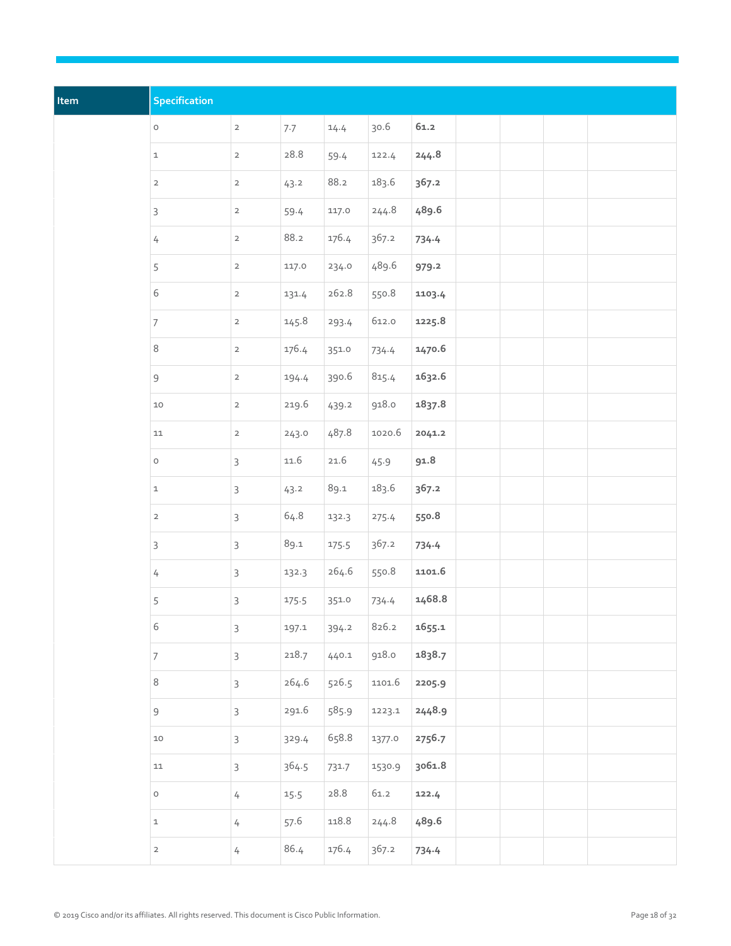| Item | Specification            |                |       |       |        |        |  |  |
|------|--------------------------|----------------|-------|-------|--------|--------|--|--|
|      | $\circ$                  | $\mathbf{2}$   | 7.7   | 14.4  | 30.6   | 61.2   |  |  |
|      | $\mathtt 1$              | $\overline{2}$ | 28.8  | 59.4  | 122.4  | 244.8  |  |  |
|      | $\overline{2}$           | $\overline{a}$ | 43.2  | 88.2  | 183.6  | 367.2  |  |  |
|      | $\mathsf{3}$             | $\overline{a}$ | 59.4  | 117.0 | 244.8  | 489.6  |  |  |
|      | $\sqrt{ }$               | $\overline{2}$ | 88.2  | 176.4 | 367.2  | 734.4  |  |  |
|      | 5                        | $\overline{2}$ | 117.0 | 234.0 | 489.6  | 979.2  |  |  |
|      | $\,$ 6 $\,$              | $\overline{2}$ | 131.4 | 262.8 | 550.8  | 1103.4 |  |  |
|      | $\overline{\mathcal{I}}$ | $\overline{2}$ | 145.8 | 293.4 | 612.0  | 1225.8 |  |  |
|      | $\,8\,$                  | $\mathbf{2}$   | 176.4 | 351.0 | 734.4  | 1470.6 |  |  |
|      | $\mathsf 9$              | $\overline{2}$ | 194.4 | 390.6 | 815.4  | 1632.6 |  |  |
|      | $10$                     | $\overline{2}$ | 219.6 | 439.2 | 918.0  | 1837.8 |  |  |
|      | $11\,$                   | $\overline{2}$ | 243.0 | 487.8 | 1020.6 | 2041.2 |  |  |
|      | $\mathsf O$              | $\mathsf{3}$   | 11.6  | 21.6  | 45.9   | 91.8   |  |  |
|      | $\mathbf 1$              | $\mathsf{3}$   | 43.2  | 89.1  | 183.6  | 367.2  |  |  |
|      | $\overline{2}$           | $\mathsf{3}$   | 64.8  | 132.3 | 275.4  | 550.8  |  |  |
|      | $\mathsf{3}$             | $\mathsf{3}$   | 89.1  | 175.5 | 367.2  | 734.4  |  |  |
|      | $\sqrt{ }$               | $\mathsf{3}$   | 132.3 | 264.6 | 550.8  | 1101.6 |  |  |
|      | 5                        | $\mathsf{3}$   | 175.5 | 351.0 | 734.4  | 1468.8 |  |  |
|      | $\,$ 6 $\,$              | $\mathsf{3}$   | 197.1 | 394.2 | 826.2  | 1655.1 |  |  |
|      | $\boldsymbol{7}$         | $\mathsf{3}$   | 218.7 | 440.1 | 918.0  | 1838.7 |  |  |
|      | $\,8\,$                  | $\mathsf{3}$   | 264.6 | 526.5 | 1101.6 | 2205.9 |  |  |
|      | $\mathsf 9$              | $\mathsf{3}$   | 291.6 | 585.9 | 1223.1 | 2448.9 |  |  |
|      | $10$                     | $\mathsf{3}$   | 329.4 | 658.8 | 1377.0 | 2756.7 |  |  |
|      | ${\tt 11}$               | $\mathsf{3}$   | 364.5 | 731.7 | 1530.9 | 3061.8 |  |  |
|      | $\mathsf{O}\xspace$      | $\sqrt{ }$     | 15.5  | 28.8  | 61.2   | 122.4  |  |  |
|      | $\mathtt 1$              | $\sqrt{ }$     | 57.6  | 118.8 | 244.8  | 489.6  |  |  |
|      | $\overline{a}$           | $\sqrt{ }$     | 86.4  | 176.4 | 367.2  | 734.4  |  |  |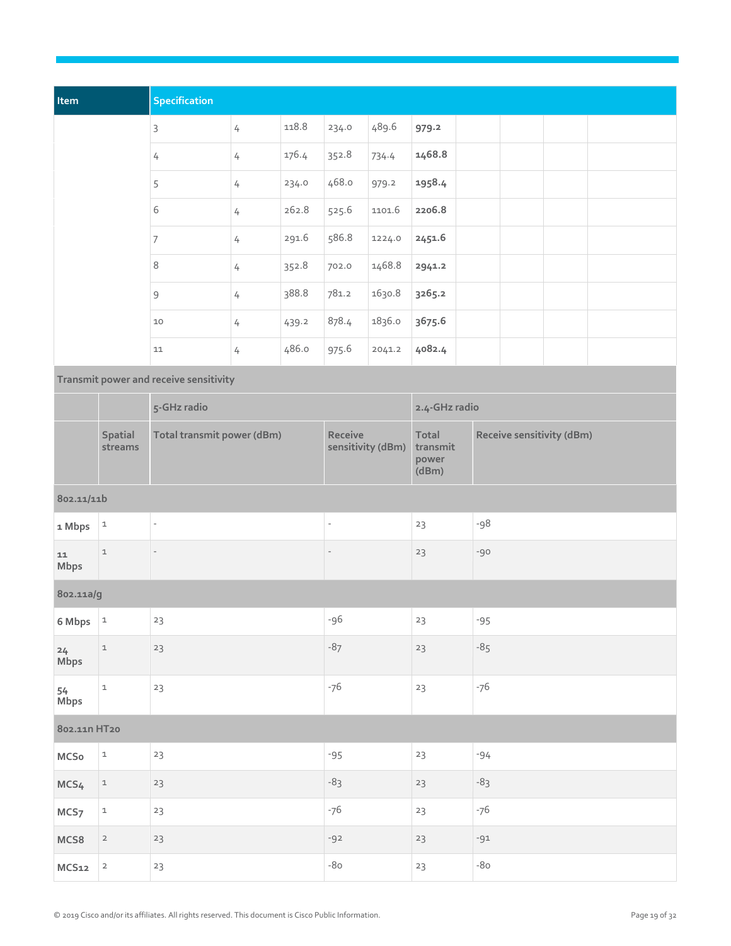| Item             |                            | Specification                          |                |               |                          |                   |                                     |       |                           |  |  |
|------------------|----------------------------|----------------------------------------|----------------|---------------|--------------------------|-------------------|-------------------------------------|-------|---------------------------|--|--|
|                  |                            | $\mathsf{3}$                           | $\overline{4}$ | 118.8         | 234.0                    | 489.6             | 979.2                               |       |                           |  |  |
|                  |                            | $\frac{1}{4}$                          | $\sqrt{ }$     | 176.4         | 352.8                    | 734.4             | 1468.8                              |       |                           |  |  |
|                  |                            | 5                                      | $\overline{4}$ | 234.0         | 468.0                    | 979.2             | 1958.4                              |       |                           |  |  |
|                  |                            | 6                                      | $\frac{1}{4}$  | 262.8         | 525.6                    | 1101.6            | 2206.8                              |       |                           |  |  |
|                  |                            | $\overline{7}$                         | $\frac{1}{4}$  | 291.6         | 586.8                    | 1224.0            | 2451.6                              |       |                           |  |  |
|                  |                            | $\,8\,$                                | 4              | 352.8         | 702.0                    | 1468.8            | 2941.2                              |       |                           |  |  |
|                  |                            | $\mathsf 9$                            | $\frac{1}{4}$  | 388.8         | 781.2                    | 1630.8            | 3265.2                              |       |                           |  |  |
|                  |                            | $10$                                   | $\frac{1}{4}$  | 439.2         | 878.4                    | 1836.0            | 3675.6                              |       |                           |  |  |
|                  |                            | 11                                     | $\overline{4}$ | 486.0         | 975.6                    | 2041.2            | 4082.4                              |       |                           |  |  |
|                  |                            | Transmit power and receive sensitivity |                |               |                          |                   |                                     |       |                           |  |  |
|                  |                            | 5-GHz radio                            |                | 2.4-GHz radio |                          |                   |                                     |       |                           |  |  |
|                  | Spatial<br>streams         | Total transmit power (dBm)             |                |               | Receive                  | sensitivity (dBm) | Total<br>transmit<br>power<br>(dBm) |       | Receive sensitivity (dBm) |  |  |
| 802.11/11b       |                            |                                        |                |               |                          |                   |                                     |       |                           |  |  |
| 1 Mbps           | $\ensuremath{\mathsf{1}}$  | $\overline{a}$                         |                |               | $\overline{\phantom{a}}$ |                   | 23                                  | -98   |                           |  |  |
| 11<br>Mbps       | $\mathbf 1$                |                                        |                |               |                          |                   | 23                                  | $-90$ |                           |  |  |
| 802.11a/g        |                            |                                        |                |               |                          |                   |                                     |       |                           |  |  |
| 6 Mbps           | $\ensuremath{\mathsf{1}}$  | 23                                     |                |               | -96                      |                   | 23                                  | $-95$ |                           |  |  |
| 24<br>Mbps       | $\mathbf 1$                | 23                                     |                |               | $-87$                    |                   | 23                                  | $-85$ |                           |  |  |
| 54<br>Mbps       | $\mathbf 1$                | $23\,$                                 |                |               | $-76$                    |                   | 23                                  | $-76$ |                           |  |  |
| 802.11n HT20     |                            |                                        |                |               |                          |                   |                                     |       |                           |  |  |
| $MC$ So          | $\mathbf 1$                | $23\,$                                 |                |               | $-95$                    |                   | 23                                  | $-94$ |                           |  |  |
| MCS4             | $\ensuremath{\mathbbm{1}}$ | 23                                     |                |               | $-83$                    |                   | $23\,$                              | $-83$ |                           |  |  |
| MCS <sub>7</sub> | $\mathtt 1$                | $23\,$                                 |                |               | $-76$                    |                   | 23                                  | $-76$ |                           |  |  |
| MCS8             | $\overline{a}$             | 23                                     |                |               | $-92$                    |                   | 23                                  | $-91$ |                           |  |  |
| MCS12            | $\overline{\mathbf{c}}$    | $23\,$                                 |                |               | $-80$                    |                   | 23                                  | $-80$ |                           |  |  |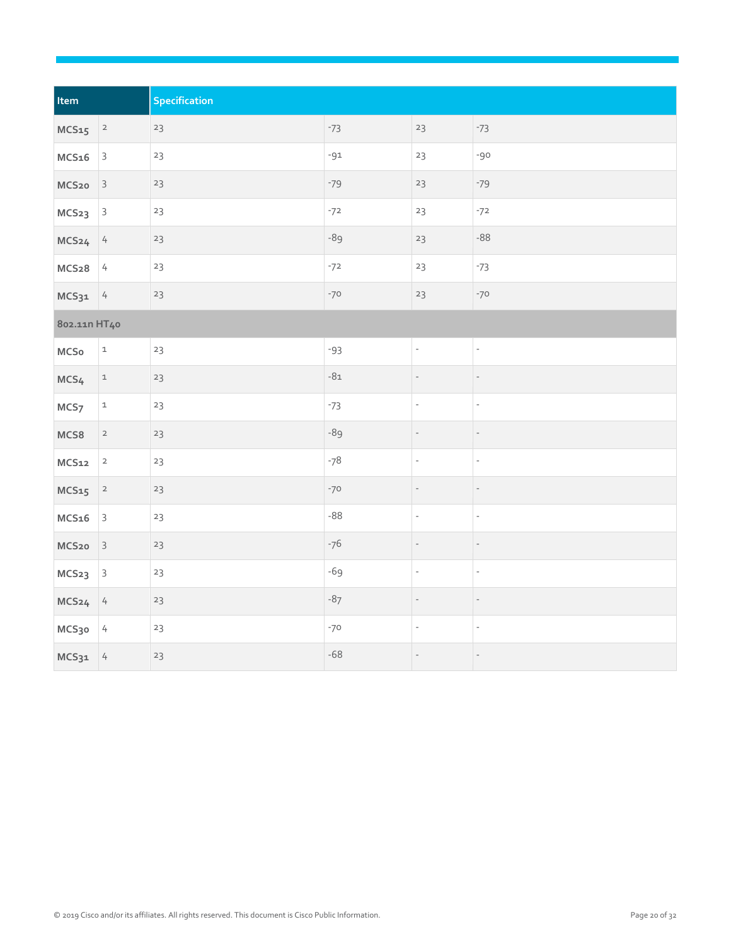| Item              |                         | Specification |       |                          |                          |
|-------------------|-------------------------|---------------|-------|--------------------------|--------------------------|
| $MCS15$ 2         |                         | 23            | $-73$ | 23                       | $-73$                    |
| MCS <sub>16</sub> | $\overline{\mathbf{3}}$ | 23            | $-91$ | 23                       | $-90$                    |
| MCS <sub>20</sub> | $\overline{\mathbf{3}}$ | 23            | $-79$ | $23\,$                   | $-79$                    |
| MCS <sub>23</sub> | $\vert$ 3               | 23            | $-72$ | 23                       | $-72$                    |
| MCS <sub>24</sub> | $\frac{1}{4}$           | 23            | -89   | 23                       | $-88$                    |
| $MCS28$ 4         |                         | 23            | $-72$ | 23                       | $-73$                    |
| $MCS31$ 4         |                         | 23            | $-70$ | $23\,$                   | $-70$                    |
| 802.11n HT40      |                         |               |       |                          |                          |
| $MC$ So           | $\mathtt 1$             | 23            | $-93$ | $\overline{\phantom{a}}$ | $\overline{\phantom{a}}$ |
| MCS4              | $\mathtt{1}$            | 23            | $-81$ |                          |                          |
| MCS <sub>7</sub>  | $\mathtt 1$             | 23            | $-73$ | $\qquad \qquad -$        | $\overline{\phantom{a}}$ |
| MCS8              | $\overline{a}$          | 23            | $-89$ |                          |                          |
| MCS12             | $\mathbf 2$             | 23            | $-78$ | $\overline{\phantom{a}}$ | $\overline{\phantom{a}}$ |
| MCS15             | $\overline{\mathbf{c}}$ | 23            | $-70$ |                          |                          |
| MCS <sub>16</sub> | $\overline{\mathbf{3}}$ | 23            | $-88$ | $\overline{\phantom{a}}$ | $\overline{\phantom{a}}$ |
| MCS <sub>20</sub> | $\overline{\mathbf{3}}$ | 23            | $-76$ |                          |                          |
| MCS <sub>23</sub> | $\mathbf{3}$            | 23            | $-69$ | $\overline{\phantom{a}}$ | $\overline{\phantom{a}}$ |
| MCS <sub>24</sub> | $\frac{1}{4}$           | 23            | $-87$ |                          | $\overline{\phantom{a}}$ |
| MCS30             | 4                       | 23            | $-70$ | $\overline{\phantom{a}}$ | $\overline{\phantom{a}}$ |
| $MCS31$ 4         |                         | $23\,$        | $-68$ | $\overline{\phantom{a}}$ | $\overline{\phantom{a}}$ |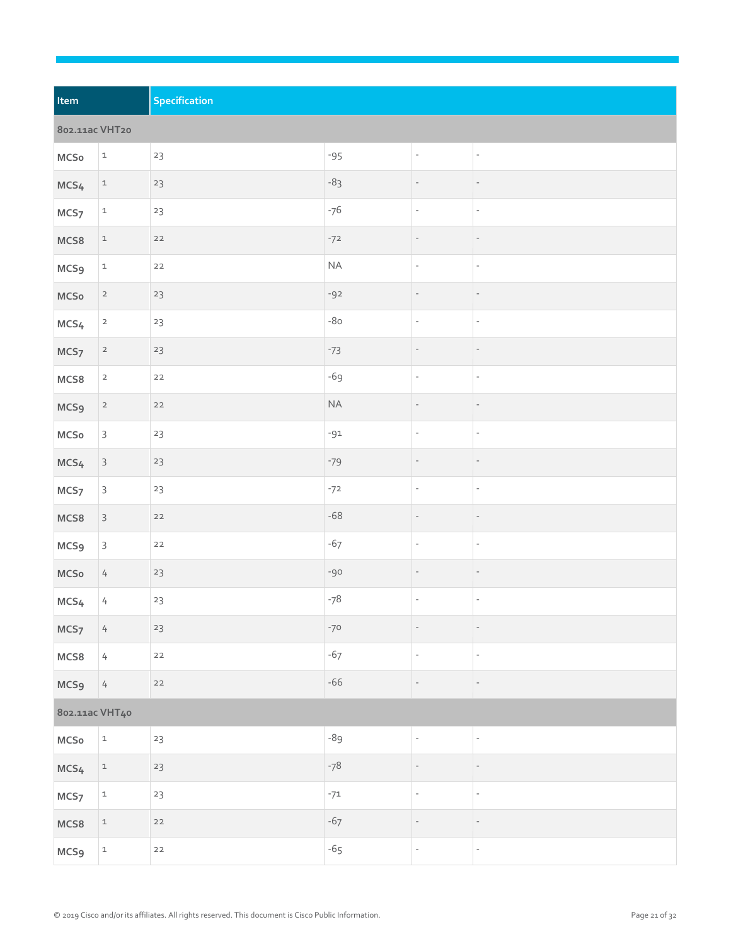| Item             |                           | Specification |          |                          |                          |  |
|------------------|---------------------------|---------------|----------|--------------------------|--------------------------|--|
| 802.11ac VHT20   |                           |               |          |                          |                          |  |
| $MC$ So          | $\mathtt{1}$              | $23\,$        | $-95$    | $\overline{\phantom{a}}$ | $\overline{\phantom{a}}$ |  |
| MCS <sub>4</sub> | $\mathbf{1}$              | 23            | $-83$    | $\qquad \qquad -$        | $\overline{\phantom{a}}$ |  |
| MCS <sub>7</sub> | $\mathtt{1}$              | $23\,$        | $-76$    | ÷,                       | $\bar{\phantom{a}}$      |  |
| MCS8             | $\ensuremath{\mathbb{1}}$ | $22$          | $-72$    | $\overline{\phantom{m}}$ | $\overline{\phantom{a}}$ |  |
| <b>MCS9</b>      | $\ensuremath{\mathsf{1}}$ | $22$          | $\sf NA$ | ÷,                       | $\overline{\phantom{a}}$ |  |
| $MC$ So          | $\overline{a}$            | 23            | $-92$    | $\overline{\phantom{m}}$ | $\overline{\phantom{a}}$ |  |
| MCS <sub>4</sub> | $\overline{a}$            | $23\,$        | $-80$    | $\overline{\phantom{a}}$ | $\overline{\phantom{a}}$ |  |
| MCS <sub>7</sub> | $\overline{\mathbf{c}}$   | 23            | $-73$    | $\qquad \qquad -$        | $\overline{\phantom{a}}$ |  |
| MCS8             | $\overline{2}$            | $22$          | $-69$    | $\qquad \qquad -$        | $\overline{\phantom{a}}$ |  |
| <b>MCS9</b>      | $\overline{a}$            | $22$          | $\sf NA$ |                          | $\overline{\phantom{a}}$ |  |
| $MC$ So          | $\mathsf 3$               | $23\,$        | $-91$    | $\overline{\phantom{a}}$ | $\overline{\phantom{a}}$ |  |
| MCS <sub>4</sub> | $\mathsf{3}$              | 23            | $-79$    | $\qquad \qquad -$        | $\overline{\phantom{a}}$ |  |
| MCS <sub>7</sub> | $\mathsf{3}$              | $23\,$        | $-72$    | $\overline{\phantom{a}}$ | $\overline{\phantom{a}}$ |  |
| MCS8             | $\mathsf{3}$              | $22$          | $-68$    |                          | $\overline{\phantom{a}}$ |  |
| MCS <sub>9</sub> | $\mathsf{3}$              | $22$          | $-67$    | $\overline{\phantom{a}}$ | $\overline{\phantom{a}}$ |  |
| $MC$ So          | $\sqrt{ }$                | 23            | $-90$    |                          | $\overline{\phantom{a}}$ |  |
| MCS <sub>4</sub> | $\sqrt{ }$                | $23\,$        | $-78$    | $\overline{\phantom{a}}$ | $\overline{\phantom{a}}$ |  |
| MCS <sub>7</sub> | $\sqrt{ }$                | 23            | $-70$    |                          | $\overline{\phantom{a}}$ |  |
| MCS8             | $\sqrt{ }$                | $22$          | $-67$    | $\frac{1}{\sqrt{2}}$     | $\mathbb{Z}^d$           |  |
| MCS <sub>9</sub> | $\sqrt{ }$                | $22$          | $-66$    | $\overline{\phantom{a}}$ | $\overline{\phantom{a}}$ |  |
| 802.11ac VHT40   |                           |               |          |                          |                          |  |
| $MC$ So          | $\ensuremath{\mathsf{1}}$ | 23            | -89      | $\overline{\phantom{a}}$ | $\overline{\phantom{a}}$ |  |
| MCS <sub>4</sub> | $\mathtt 1$               | $23\,$        | $-78$    |                          | $\overline{\phantom{a}}$ |  |
| MCS <sub>7</sub> | $\mathtt{1}$              | 23            | $-71$    | $\overline{\phantom{a}}$ | $\overline{\phantom{a}}$ |  |
| MCS8             | $\mathtt{1}$              | $22$          | $-67$    |                          |                          |  |
| MCS <sub>9</sub> | $\mathtt 1$               | $22$          | $-65$    | $\overline{\phantom{a}}$ | $\overline{\phantom{a}}$ |  |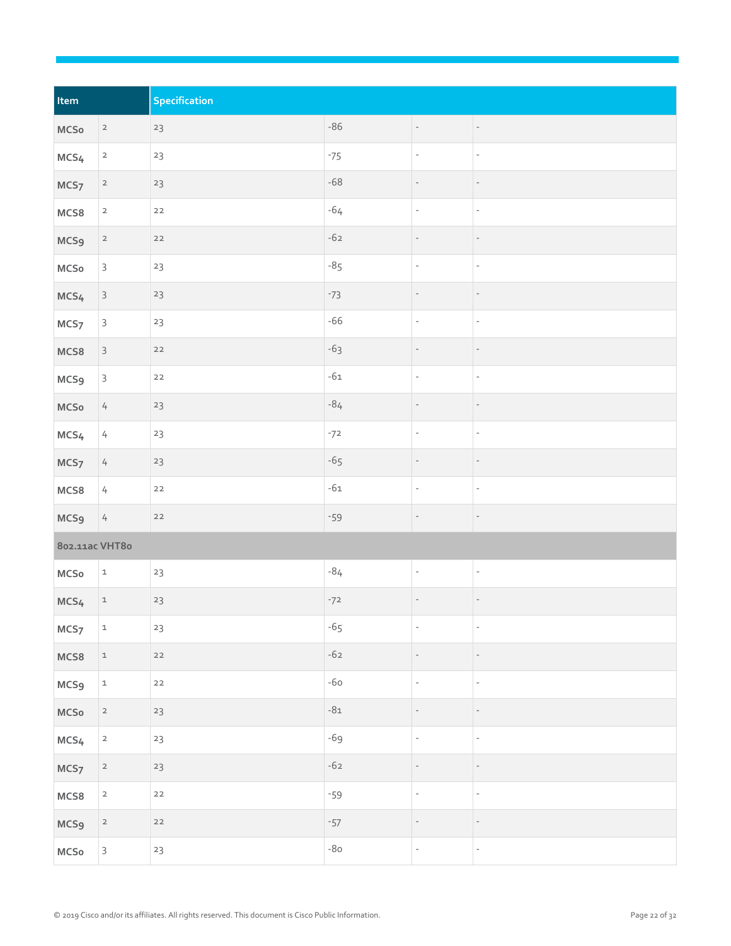| Item             |                            | Specification |       |                          |                          |
|------------------|----------------------------|---------------|-------|--------------------------|--------------------------|
| $MC$ So          | $\overline{a}$             | $23$          | $-86$ | $\overline{\phantom{a}}$ | $\overline{\phantom{a}}$ |
| MCS <sub>4</sub> | $\overline{\mathbf{c}}$    | $23$          | $-75$ | $\overline{\phantom{a}}$ | $\overline{\phantom{a}}$ |
| MCS <sub>7</sub> | $\overline{2}$             | 23            | $-68$ | $\overline{\phantom{a}}$ | $\overline{\phantom{a}}$ |
| MCS8             | $\overline{a}$             | $22$          | $-64$ | $\bar{\phantom{a}}$      | $\overline{\phantom{a}}$ |
| MCS <sub>9</sub> | $\overline{a}$             | $22$          | $-62$ | $\qquad \qquad -$        | $\overline{\phantom{a}}$ |
| MCSo             | $\mathsf{3}$               | 23            | $-85$ | $\overline{\phantom{a}}$ | $\overline{\phantom{a}}$ |
| MCS <sub>4</sub> | $\mathsf{3}$               | 23            | $-73$ |                          |                          |
| MCS <sub>7</sub> | $\mathsf{3}$               | $23$          | $-66$ | $\overline{\phantom{a}}$ | $\overline{\phantom{a}}$ |
| MCS8             | $\mathsf{3}$               | $22$          | $-63$ | $\overline{\phantom{0}}$ | $\overline{\phantom{a}}$ |
| <b>MCS9</b>      | $\mathsf{3}$               | $22$          | $-61$ | $\mathbb{Z}$             | $\overline{\phantom{a}}$ |
| MCSo             | $\frac{1}{2}$              | 23            | $-84$ |                          | $\overline{\phantom{m}}$ |
| MCS <sub>4</sub> | $\overline{4}$             | 23            | $-72$ | $\overline{\phantom{a}}$ | $\overline{\phantom{a}}$ |
| MCS <sub>7</sub> | 4                          | 23            | $-65$ |                          | $\overline{\phantom{m}}$ |
| MCS8             | $\frac{1}{2}$              | $22$          | $-61$ | $\overline{\phantom{a}}$ | $\overline{\phantom{a}}$ |
| MCS <sub>9</sub> | $\frac{1}{2}$              | $22$          | $-59$ |                          |                          |
| 802.11ac VHT80   |                            |               |       |                          |                          |
| MCSo             | $\mathtt{1}$               | $23\,$        | $-84$ | $\overline{\phantom{a}}$ | $\overline{\phantom{a}}$ |
| MCS <sub>4</sub> | $\ensuremath{\mathbbm{1}}$ | $23\,$        | $-72$ | $\overline{\phantom{m}}$ | $\overline{\phantom{a}}$ |
| MCS <sub>7</sub> | $\mathtt 1$                | $23\,$        | $-65$ | $\overline{\phantom{a}}$ | $\overline{\phantom{a}}$ |
| MCS8             | $\mathtt{1}$               | $22$          | $-62$ | $\overline{\phantom{a}}$ | $\overline{\phantom{a}}$ |
| <b>MCS9</b>      | $\mathtt 1$                | $22$          | $-60$ | $\overline{\phantom{a}}$ | $\overline{\phantom{a}}$ |
| $MC$ So          | $\overline{a}$             | $23\,$        | $-81$ | $\overline{\phantom{a}}$ | $\overline{\phantom{a}}$ |
| MCS <sub>4</sub> | $\mathbf{2}$               | $23$          | $-69$ | $\overline{\phantom{m}}$ | $\overline{\phantom{a}}$ |
| MCS <sub>7</sub> | $\overline{2}$             | $23\,$        | $-62$ | $\frac{1}{2}$            | $\overline{\phantom{a}}$ |
| MCS8             | $\overline{2}$             | $22$          | $-59$ | $\mathbb{Z}$             | $\overline{\phantom{a}}$ |
| MCS <sub>9</sub> | $\overline{\mathbf{c}}$    | $22$          | $-57$ | $\qquad \qquad -$        | $\overline{\phantom{a}}$ |
| $MC$ So          | $\mathsf{3}$               | $23$          | $-80$ | ÷,                       | $\gamma$                 |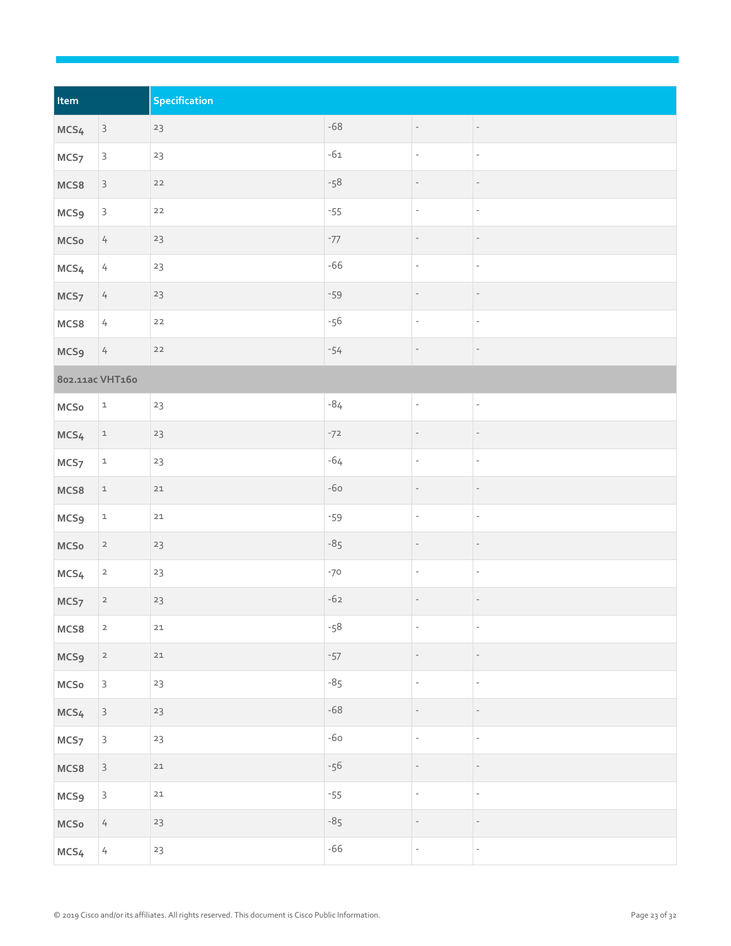| Item             |                | Specification |       |                          |                          |
|------------------|----------------|---------------|-------|--------------------------|--------------------------|
| MCS <sub>4</sub> | $\mathsf{3}$   | 23            | $-68$ | $\overline{\phantom{a}}$ | $\overline{\phantom{a}}$ |
| MCS <sub>7</sub> | $\mathsf{3}$   | 23            | $-61$ | ÷,                       | $\overline{\phantom{a}}$ |
| MCS8             | $\overline{3}$ | $22$          | $-58$ |                          | $\overline{\phantom{m}}$ |
| <b>MCS9</b>      | $\mathsf{3}$   | $22$          | $-55$ | ÷,                       | $\overline{\phantom{a}}$ |
| MCSo             | $\overline{4}$ | 23            | $-77$ |                          | $\qquad \qquad -$        |
| MCS <sub>4</sub> | $\sqrt{ }$     | $23\,$        | $-66$ | $\overline{\phantom{a}}$ | $\overline{\phantom{a}}$ |
| MCS <sub>7</sub> | $\overline{4}$ | $23\,$        | $-59$ |                          | $\qquad \qquad -$        |
| MCS8             | $\sqrt{ }$     | $22$          | $-56$ | $\overline{\phantom{a}}$ | $\overline{\phantom{a}}$ |
| <b>MCS9</b>      | $\overline{4}$ | $22$          | $-54$ | $\overline{\phantom{a}}$ | $\overline{\phantom{a}}$ |
| 802.11ac VHT160  |                |               |       |                          |                          |
| $MC$ So          | $\mathtt 1$    | 23            | $-84$ | $\overline{\phantom{a}}$ | $\overline{\phantom{a}}$ |
| MCS <sub>4</sub> | $\mathtt{1}$   | 23            | $-72$ |                          |                          |
| MCS <sub>7</sub> | $\mathtt 1$    | 23            | $-64$ | $\overline{\phantom{a}}$ | $\overline{\phantom{a}}$ |
| MCS8             | $\mathtt{1}$   | $21\,$        | $-60$ | $\qquad \qquad -$        | $\overline{\phantom{a}}$ |
| MCS <sub>9</sub> | $\mathtt{1}$   | $21\,$        | $-59$ | $\overline{\phantom{a}}$ | $\overline{\phantom{a}}$ |
| $MC$ So          | $\overline{a}$ | 23            | $-85$ |                          |                          |
| MCS <sub>4</sub> | $\overline{2}$ | $23\,$        | $-70$ | $\overline{\phantom{a}}$ | $\overline{\phantom{a}}$ |
| MCS <sub>7</sub> | $\overline{a}$ | $23\,$        | $-62$ | $\qquad \qquad -$        | $\overline{\phantom{a}}$ |
| MCS8             | $\overline{a}$ | $21$          | $-58$ | $\overline{\phantom{a}}$ | $\overline{\phantom{a}}$ |
| MCS <sub>9</sub> | $\overline{a}$ | $21\,$        | $-57$ | $\overline{\phantom{a}}$ | $\overline{\phantom{a}}$ |
| $MC$ So          | $\mathsf{3}$   | 23            | $-85$ | $\overline{\phantom{a}}$ | $\overline{\phantom{a}}$ |
| MCS <sub>4</sub> | $\mathsf{3}$   | $23\,$        | $-68$ | $\qquad \qquad -$        | $\overline{\phantom{a}}$ |
| MCS <sub>7</sub> | $\mathsf{3}$   | 23            | $-60$ | $\overline{\phantom{a}}$ | $\overline{\phantom{a}}$ |
| MCS8             | $\mathsf{3}$   | $21\,$        | $-56$ |                          | $\qquad \qquad -$        |
| MCS <sub>9</sub> | $\mathsf{3}$   | $21\,$        | $-55$ | ÷,                       | $\overline{\phantom{a}}$ |
| $MC$ So          | $\overline{4}$ | $23$          | $-85$ | $\overline{\phantom{m}}$ | $\overline{\phantom{m}}$ |
| MCS <sub>4</sub> | $\overline{4}$ | 23            | $-66$ | ÷,                       | $\mathbb{Z}^d$           |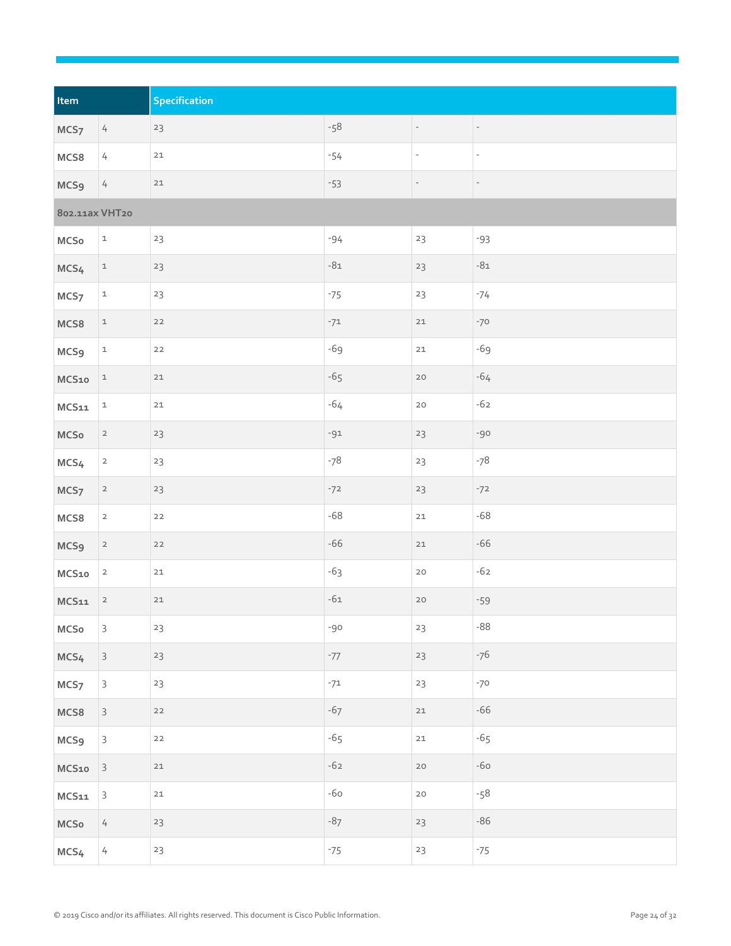| Item             |                            | Specification |       |                          |                          |
|------------------|----------------------------|---------------|-------|--------------------------|--------------------------|
| MCS <sub>7</sub> | $4\overline{6}$            | 23            | $-58$ | Ξ.                       | ÷.,                      |
| MCS8             | $\sqrt{ }$                 | $21\,$        | $-54$ | $\overline{\phantom{a}}$ | $\overline{\phantom{a}}$ |
| MCS <sub>9</sub> | $\sqrt{ }$                 | $21$          | $-53$ | $\overline{\phantom{a}}$ | $\overline{\phantom{a}}$ |
| 802.11ax VHT20   |                            |               |       |                          |                          |
| MCSo             | $\mathtt 1$                | 23            | $-94$ | 23                       | $-93$                    |
| MCS <sub>4</sub> | $\mathbf{1}$               | 23            | $-81$ | 23                       | $-81$                    |
| MCS <sub>7</sub> | $\ensuremath{\mathbbm{1}}$ | 23            | $-75$ | 23                       | $-74$                    |
| MCS8             | $\mathtt 1$                | $22$          | $-71$ | $21$                     | $-70$                    |
| MCS <sub>9</sub> | $\mathtt 1$                | $22$          | $-69$ | $21\,$                   | $-69$                    |
| MCS10            | $\mathtt 1$                | $21\,$        | $-65$ | $20\,$                   | $-64$                    |
| MCS11            | $\mathtt 1$                | $21\,$        | $-64$ | $20\,$                   | $-62$                    |
| MCSo             | $\overline{a}$             | 23            | $-91$ | 23                       | $-90$                    |
| MCS <sub>4</sub> | $\overline{a}$             | 23            | $-78$ | 23                       | $-78$                    |
| MCS <sub>7</sub> | $\overline{a}$             | 23            | $-72$ | 23                       | $-72$                    |
| MCS8             | $\mathbf{2}$               | $22$          | $-68$ | $21\,$                   | $-68$                    |
| <b>MCS9</b>      | $\overline{a}$             | $22$          | $-66$ | $21$                     | $-66$                    |
| MCS10            | $\overline{2}$             | $21$          | $-63$ | $20\,$                   | $-62$                    |
| MCS11            | $\overline{\mathbf{c}}$    | $21$          | $-61$ | $20\,$                   | $-59$                    |
| MCSo             | 3                          | $23\,$        | $-90$ | 23                       | $-88$                    |
| MCS <sub>4</sub> | $\mathsf{3}$               | 23            | $-77$ | 23                       | $-76$                    |
| MCS <sub>7</sub> | $\mathsf{3}$               | 23            | $-71$ | 23                       | $-70$                    |
| MCS8             | $\mathsf{3}$               | $22$          | $-67$ | $21$                     | $-66$                    |
| MCS <sub>9</sub> | $\mathsf{3}$               | $22$          | $-65$ | $21\,$                   | $-65$                    |
| MCS10            | $\overline{\mathbf{3}}$    | $21\,$        | $-62$ | $20\,$                   | $-60$                    |
| $MCS11$          | $\mathsf 3$                | $21$          | $-60$ | $20$                     | $-58$                    |
| MCSo             | $\frac{1}{2}$              | 23            | $-87$ | 23                       | $-86$                    |
| MCS <sub>4</sub> | $\frac{1}{2}$              | 23            | $-75$ | $23\,$                   | $-75$                    |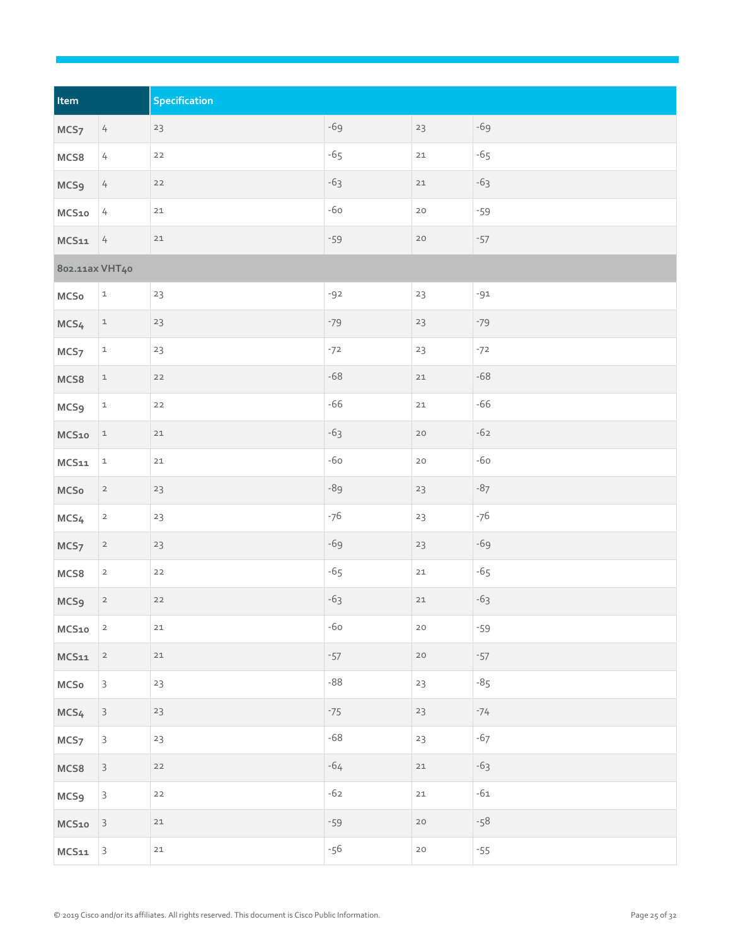| Item             |                            | Specification |       |        |       |
|------------------|----------------------------|---------------|-------|--------|-------|
| MCS <sub>7</sub> | $\overline{4}$             | 23            | $-69$ | 23     | $-69$ |
| MCS8             | $\sqrt{ }$                 | $22$          | $-65$ | $21\,$ | $-65$ |
| MCS <sub>9</sub> | $\overline{4}$             | $22$          | $-63$ | $21\,$ | $-63$ |
| MCS10            | $\sqrt{ }$                 | $21\,$        | $-60$ | $20$   | $-59$ |
| MCS11            | $\frac{1}{4}$              | $21$          | $-59$ | $20$   | $-57$ |
| 802.11ax VHT40   |                            |               |       |        |       |
| MCSo             | $\mathtt 1$                | 23            | $-92$ | 23     | $-91$ |
| MCS <sub>4</sub> | $\mathbf{1}$               | 23            | $-79$ | $23$   | $-79$ |
| MCS <sub>7</sub> | $\ensuremath{\mathbbm{1}}$ | $23\,$        | $-72$ | 23     | $-72$ |
| MCS8             | $\mathtt 1$                | $22$          | $-68$ | $21\,$ | $-68$ |
| <b>MCS9</b>      | $\mathtt 1$                | $22$          | $-66$ | $21\,$ | $-66$ |
| MCS10            | $\mathtt 1$                | $21$          | $-63$ | $20$   | $-62$ |
| MCS11            | $\mathtt 1$                | $21\,$        | $-60$ | $20$   | $-60$ |
| $MC$ So          | $\overline{2}$             | 23            | -89   | $23$   | $-87$ |
| MCS4             | $\overline{a}$             | 23            | $-76$ | 23     | $-76$ |
| MCS <sub>7</sub> | $\overline{a}$             | 23            | $-69$ | $23\,$ | $-69$ |
| MCS8             | $\overline{2}$             | $22$          | $-65$ | $21\,$ | $-65$ |
| MCS <sub>9</sub> | $\overline{\mathbf{c}}$    | $22$          | $-63$ | $21\,$ | $-63$ |
| MCS10            | $\overline{\mathbf{c}}$    | $21$          | $-60$ | $20\,$ | $-59$ |
| MCS11            | $\overline{a}$             | $21\,$        | $-57$ | $20\,$ | $-57$ |
| $MC$ So          | $\mathsf{3}$               | $23\,$        | $-88$ | 23     | $-85$ |
| MCS <sub>4</sub> | $\mathsf{3}$               | 23            | $-75$ | $23$   | $-74$ |
| MCS <sub>7</sub> | $\mathsf{3}$               | 23            | $-68$ | 23     | $-67$ |
| MCS8             | $\mathsf{3}$               | $22$          | $-64$ | $21\,$ | $-63$ |
| MCS <sub>9</sub> | $\mathsf{3}$               | $22$          | $-62$ | $21\,$ | $-61$ |
| MCS10            | $\overline{\mathbf{3}}$    | $21\,$        | $-59$ | $20\,$ | $-58$ |
| $\sf MCS11$      | $\mathsf 3$                | $21\,$        | $-56$ | $20$   | $-55$ |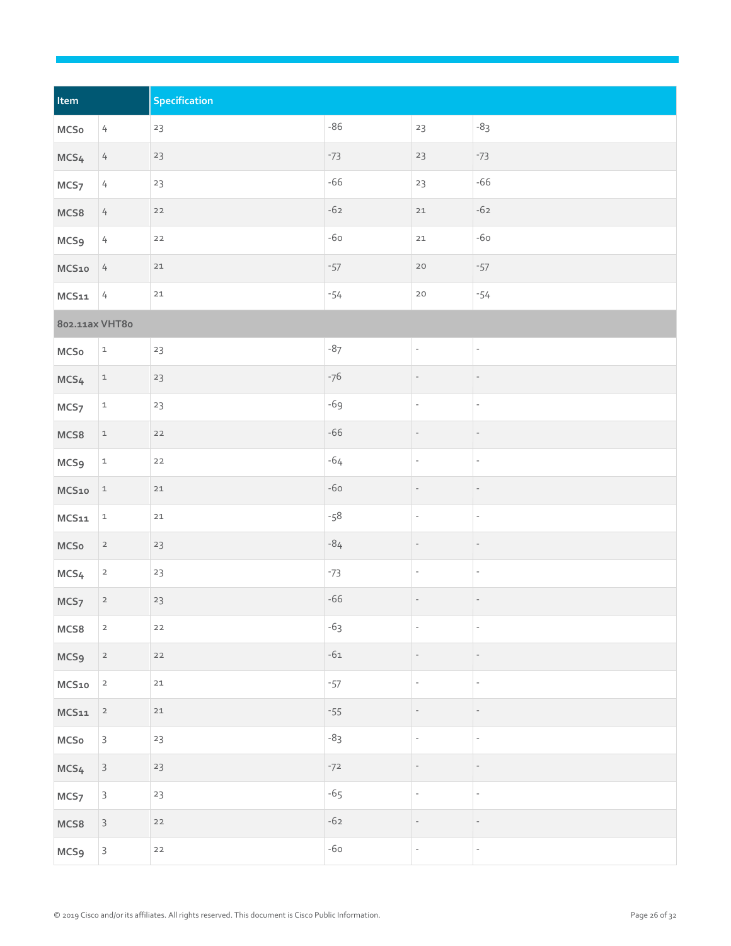| Item             |                            | Specification |       |                          |                          |
|------------------|----------------------------|---------------|-------|--------------------------|--------------------------|
| $MC$ So          | $\overline{4}$             | $23\,$        | $-86$ | 23                       | $-83$                    |
| MCS <sub>4</sub> | $\overline{4}$             | $23\,$        | $-73$ | $23\,$                   | $-73$                    |
| MCS <sub>7</sub> | $\overline{4}$             | 23            | $-66$ | 23                       | $-66$                    |
| MCS8             | $\overline{4}$             | $22$          | $-62$ | $21\,$                   | $-62$                    |
| MCS <sub>9</sub> | $\overline{4}$             | $22$          | $-60$ | $21\,$                   | $-60$                    |
| MCS10            | 4                          | $21\,$        | $-57$ | $20\,$                   | $-57$                    |
| MCS11            | $\frac{1}{4}$              | $21\,$        | $-54$ | $20\,$                   | $-54$                    |
| 802.11ax VHT80   |                            |               |       |                          |                          |
| $MC$ So          | $\mathtt 1$                | 23            | $-87$ | $\qquad \qquad -$        | $\overline{\phantom{a}}$ |
| MCS4             | $\mathtt{1}$               | $23\,$        | $-76$ |                          | $\qquad \qquad -$        |
| MCS <sub>7</sub> | $\mathtt{1}$               | $23\,$        | $-69$ | $\bar{\phantom{a}}$      | $\overline{\phantom{a}}$ |
| MCS8             | $\ensuremath{\mathbbm{1}}$ | $22$          | $-66$ |                          |                          |
| <b>MCS9</b>      | $\ensuremath{\mathbbm{1}}$ | $22$          | $-64$ | $\overline{\phantom{a}}$ | $\overline{\phantom{a}}$ |
| MCS10            | $\mathtt 1$                | $21\,$        | $-60$ |                          | $\qquad \qquad -$        |
| MCS11            | $\ensuremath{\mathbbm{1}}$ | $21\,$        | $-58$ | $\qquad \qquad -$        | $\overline{\phantom{a}}$ |
| MCSo             | $\overline{a}$             | 23            | $-84$ |                          |                          |
| MCS4             | $\overline{2}$             | $23\,$        | $-73$ | $\overline{\phantom{m}}$ | $\overline{\phantom{m}}$ |
| MCS <sub>7</sub> | $\overline{\mathbf{c}}$    | $23\,$        | $-66$ | $\qquad \qquad -$        | $\overline{\phantom{a}}$ |
| MCS8             | $\mathsf{2}$               | $22$          | $-63$ | $\overline{\phantom{a}}$ | $\overline{\phantom{a}}$ |
| MCS <sub>9</sub> | $\overline{a}$             | $22$          | $-61$ |                          |                          |
| MCS10            | $\overline{a}$             | $21\,$        | $-57$ | $\bar{\phantom{a}}$      | $\overline{\phantom{a}}$ |
| $\mathsf{MCS11}$ | $\overline{a}$             | $21\,$        | $-55$ | $\qquad \qquad -$        | $\qquad \qquad -$        |
| $MC$ So          | $\mathsf{3}$               | $23\,$        | $-83$ | $\overline{\phantom{a}}$ | $\overline{\phantom{a}}$ |
| MCS <sub>4</sub> | $\mathsf{3}$               | 23            | $-72$ |                          |                          |
| MCS <sub>7</sub> | $\mathsf{3}$               | 23            | $-65$ | $\overline{\phantom{a}}$ | $\overline{\phantom{a}}$ |
| MCS8             | $\mathsf{3}$               | $22$          | $-62$ | $\qquad \qquad -$        |                          |
| MCS <sub>9</sub> | $\mathsf{3}$               | $22$          | $-60$ | ÷,                       | $\overline{\phantom{a}}$ |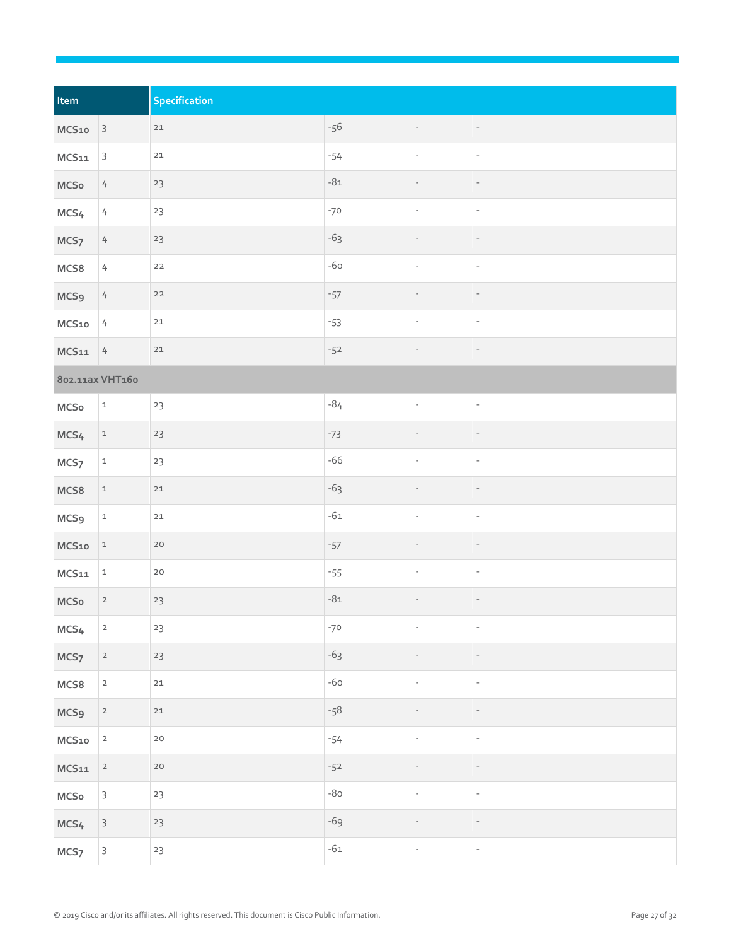| Item             |                         | Specification |       |                          |                          |
|------------------|-------------------------|---------------|-------|--------------------------|--------------------------|
| MCS10            | $\vert$ 3               | $21\,$        | $-56$ | $\overline{\phantom{a}}$ | $\overline{\phantom{a}}$ |
| MCS11            | $\overline{3}$          | $21\,$        | $-54$ | ÷,                       | $\mathbb{R}^2$           |
| MCSo             | $\overline{4}$          | 23            | $-81$ |                          | $\qquad \qquad -$        |
| MCS4             | $\sqrt{ }$              | 23            | $-70$ | $\overline{\phantom{a}}$ | $\overline{\phantom{a}}$ |
| MCS <sub>7</sub> | $\overline{4}$          | $23\,$        | $-63$ | $\qquad \qquad -$        | $\overline{\phantom{a}}$ |
| MCS8             | $\sqrt{ }$              | $22$          | $-60$ | $\overline{\phantom{a}}$ | $\overline{\phantom{a}}$ |
| <b>MCS9</b>      | $\frac{1}{2}$           | $22$          | $-57$ |                          |                          |
| MCS10            | $\frac{1}{4}$           | $21\,$        | $-53$ | $\overline{\phantom{a}}$ | $\overline{\phantom{a}}$ |
| MCS11            | $\frac{1}{4}$           | $21$          | $-52$ | $\overline{\phantom{a}}$ | $\overline{\phantom{a}}$ |
| 802.11ax VHT160  |                         |               |       |                          |                          |
| MCSo             | $\mathtt 1$             | 23            | $-84$ | $\overline{\phantom{a}}$ | $\overline{\phantom{a}}$ |
| MCS <sub>4</sub> | $\mathtt{1}$            | 23            | $-73$ | $\qquad \qquad -$        | $\overline{\phantom{a}}$ |
| MCS <sub>7</sub> | $\mathtt{1}$            | $23\,$        | $-66$ | $\overline{\phantom{a}}$ | $\overline{\phantom{a}}$ |
| MCS8             | $\mathtt{1}$            | $21\,$        | $-63$ |                          |                          |
| MCS <sub>9</sub> | $\mathtt{1}$            | $21\,$        | $-61$ | $\overline{\phantom{a}}$ | $\overline{\phantom{a}}$ |
| MCS10            | $\mathbf{1}$            | $20$          | $-57$ |                          |                          |
| $MCS11$          | $\mathtt{1}$            | $20$          | $-55$ | $\overline{\phantom{a}}$ | $\overline{\phantom{a}}$ |
| $MC$ So          | $\overline{\mathbf{c}}$ | $23\,$        | $-81$ | $\overline{\phantom{a}}$ | $\overline{\phantom{a}}$ |
| MCS <sub>4</sub> | $\overline{\mathbf{c}}$ | $23\,$        | $-70$ | $\overline{\phantom{a}}$ | $\overline{\phantom{a}}$ |
| MCS <sub>7</sub> | $\overline{a}$          | 23            | $-63$ | $\qquad \qquad -$        | $\overline{\phantom{a}}$ |
| MCS8             | $\overline{\mathbf{c}}$ | $21\,$        | $-60$ | $\overline{\phantom{a}}$ | $\overline{\phantom{a}}$ |
| MCS <sub>9</sub> | $\overline{2}$          | $21\,$        | $-58$ |                          |                          |
| MCS10            | $\mathsf{2}$            | $20$          | $-54$ | $\overline{\phantom{a}}$ | $\overline{\phantom{a}}$ |
| $MCS11$          | $\overline{\mathbf{c}}$ | $20$          | $-52$ | $\qquad \qquad -$        | $\overline{\phantom{a}}$ |
| $MC$ So          | $\mathsf{3}$            | $23\,$        | $-80$ | ÷,                       | $\overline{\phantom{a}}$ |
| MCS <sub>4</sub> | $\mathsf{3}$            | $23$          | $-69$ | $\overline{\phantom{m}}$ | $\qquad \qquad -$        |
| MCS <sub>7</sub> | $\mathsf{3}$            | $23\,$        | $-61$ | $\overline{\phantom{a}}$ | $\mathbb{Z}^d$           |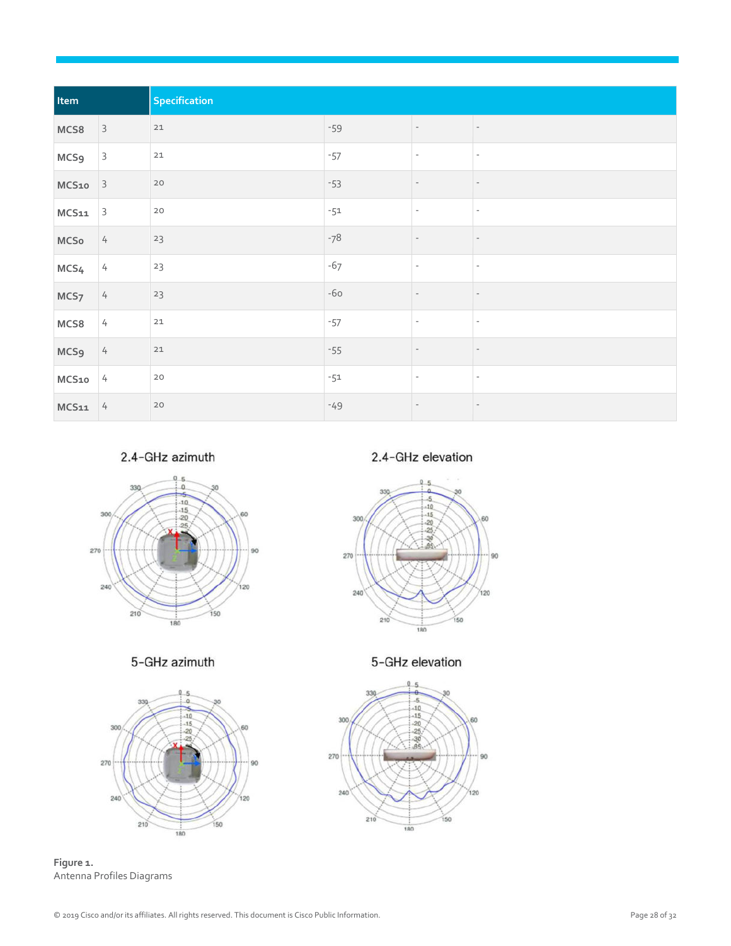| Item             |                | Specification |       |                          |                          |  |
|------------------|----------------|---------------|-------|--------------------------|--------------------------|--|
| MCS8             | $\overline{3}$ | 21            | $-59$ | $\overline{\phantom{a}}$ | $\sim$                   |  |
| <b>MCS9</b>      | $\overline{3}$ | 21            | $-57$ | $\overline{\phantom{a}}$ | $\overline{\phantom{a}}$ |  |
| $MCS10$ 3        |                | $20$          | $-53$ | $\overline{\phantom{a}}$ | $\overline{\phantom{a}}$ |  |
| $MCS11$ 3        |                | $20$          | $-51$ | $\overline{\phantom{a}}$ | $\overline{\phantom{a}}$ |  |
| <b>MCSo</b>      | 4              | 23            | $-78$ |                          | $\overline{\phantom{a}}$ |  |
| MCS4             | $\frac{1}{2}$  | 23            | $-67$ | $\overline{a}$           | $\overline{\phantom{a}}$ |  |
| MCS <sub>7</sub> | 4              | 23            | $-60$ |                          | $\overline{\phantom{a}}$ |  |
| MCS8             | $\frac{1}{4}$  | 21            | $-57$ |                          | $\overline{\phantom{a}}$ |  |
| MCS <sub>9</sub> | 4              | $21$          | $-55$ |                          | $\overline{\phantom{a}}$ |  |
| $MCS10$ 4        |                | $20$          | $-51$ | $\overline{\phantom{a}}$ | $\overline{\phantom{a}}$ |  |
| $MCS11$ 4        |                | $20$          | $-49$ |                          | $\overline{\phantom{a}}$ |  |

2.4-GHz azimuth



5-GHz azimuth



**Figure 1.**  Antenna Profiles Diagrams

2.4-GHz elevation



5-GHz elevation

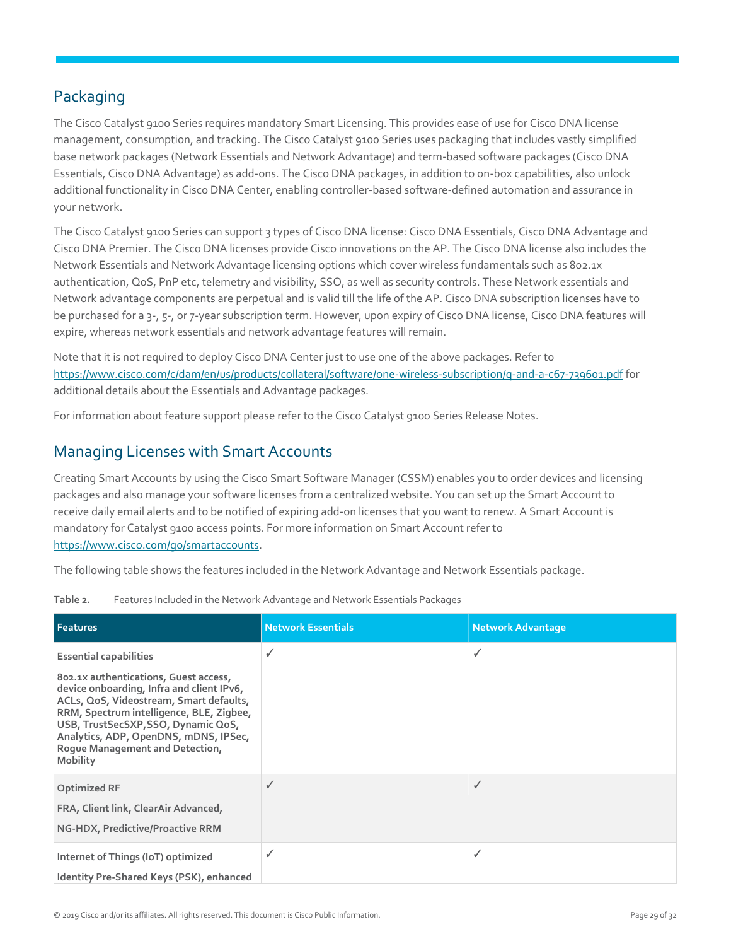## <span id="page-28-0"></span>Packaging

The Cisco Catalyst 9100 Series requires mandatory Smart Licensing. This provides ease of use for Cisco DNA license management, consumption, and tracking. The Cisco Catalyst 9100 Series uses packaging that includes vastly simplified base network packages (Network Essentials and Network Advantage) and term-based software packages (Cisco DNA Essentials, Cisco DNA Advantage) as add-ons. The Cisco DNA packages, in addition to on-box capabilities, also unlock additional functionality in Cisco DNA Center, enabling controller-based software-defined automation and assurance in your network.

The Cisco Catalyst 9100 Series can support 3 types of Cisco DNA license: Cisco DNA Essentials, Cisco DNA Advantage and Cisco DNA Premier. The Cisco DNA licenses provide Cisco innovations on the AP. The Cisco DNA license also includes the Network Essentials and Network Advantage licensing options which cover wireless fundamentals such as 802.1x authentication, QoS, PnP etc, telemetry and visibility, SSO, as well as security controls. These Network essentials and Network advantage components are perpetual and is valid till the life of the AP. Cisco DNA subscription licenses have to be purchased for a 3-, 5-, or 7-year subscription term. However, upon expiry of Cisco DNA license, Cisco DNA features will expire, whereas network essentials and network advantage features will remain.

Note that it is not required to deploy Cisco DNA Center just to use one of the above packages. Refer to <https://www.cisco.com/c/dam/en/us/products/collateral/software/one-wireless-subscription/q-and-a-c67-739601.pdf> for additional details about the Essentials and Advantage packages.

For information about feature support please refer to the Cisco Catalyst 9100 Series Release Notes.

#### <span id="page-28-1"></span>Managing Licenses with Smart Accounts

Creating Smart Accounts by using the Cisco Smart Software Manager (CSSM) enables you to order devices and licensing packages and also manage your software licenses from a centralized website. You can set up the Smart Account to receive daily email alerts and to be notified of expiring add-on licenses that you want to renew. A Smart Account is mandatory for Catalyst 9100 access points. For more information on Smart Account refer to [https://www.cisco.com/go/smartaccounts.](https://www.cisco.com/go/smartaccounts)

The following table shows the features included in the Network Advantage and Network Essentials package.

| Table 2. | Features Included in the Network Advantage and Network Essentials Packages |  |
|----------|----------------------------------------------------------------------------|--|
|----------|----------------------------------------------------------------------------|--|

| <b>Features</b>                                                                                                                                                                                                                                                                                                                                  | <b>Network Essentials</b> | <b>Network Advantage</b> |
|--------------------------------------------------------------------------------------------------------------------------------------------------------------------------------------------------------------------------------------------------------------------------------------------------------------------------------------------------|---------------------------|--------------------------|
| <b>Essential capabilities</b><br>802.1x authentications, Guest access,<br>device onboarding, Infra and client IPv6,<br>ACLs, QoS, Videostream, Smart defaults,<br>RRM, Spectrum intelligence, BLE, Zigbee,<br>USB, TrustSecSXP, SSO, Dynamic QoS,<br>Analytics, ADP, OpenDNS, mDNS, IPSec,<br>Roque Management and Detection,<br><b>Mobility</b> |                           | √                        |
| <b>Optimized RF</b><br>FRA, Client link, ClearAir Advanced,<br>NG-HDX, Predictive/Proactive RRM                                                                                                                                                                                                                                                  | ✓                         |                          |
| Internet of Things (IoT) optimized<br>Identity Pre-Shared Keys (PSK), enhanced                                                                                                                                                                                                                                                                   |                           |                          |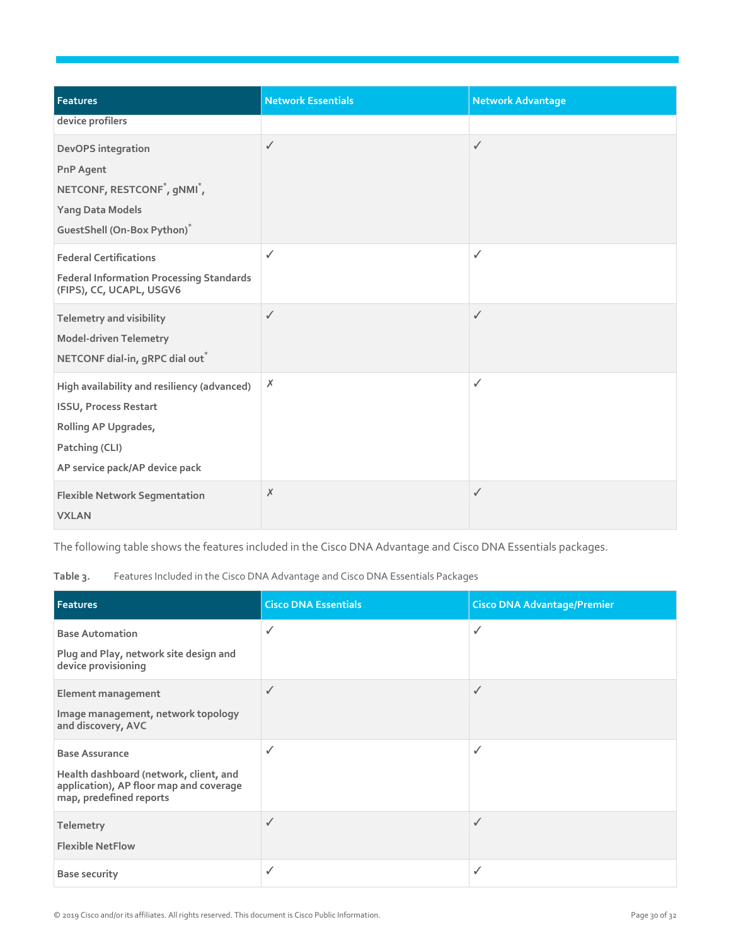| <b>Features</b>                                                                                                                                          | <b>Network Essentials</b> | <b>Network Advantage</b> |
|----------------------------------------------------------------------------------------------------------------------------------------------------------|---------------------------|--------------------------|
| device profilers                                                                                                                                         |                           |                          |
| DevOPS integration<br><b>PnP Agent</b><br>NETCONF, RESTCONF <sup>*</sup> , gNMI <sup>*</sup> ,<br><b>Yang Data Models</b><br>GuestShell (On-Box Python)* | $\checkmark$              | ✓                        |
| <b>Federal Certifications</b><br><b>Federal Information Processing Standards</b><br>(FIPS), CC, UCAPL, USGV6                                             | $\checkmark$              | $\checkmark$             |
| Telemetry and visibility<br><b>Model-driven Telemetry</b><br>NETCONF dial-in, gRPC dial out <sup>*</sup>                                                 | $\checkmark$              | ✓                        |
| High availability and resiliency (advanced)<br><b>ISSU, Process Restart</b><br>Rolling AP Upgrades,<br>Patching (CLI)<br>AP service pack/AP device pack  | Х                         | ✓                        |
| <b>Flexible Network Segmentation</b><br><b>VXLAN</b>                                                                                                     | Х                         | ✓                        |

The following table shows the features included in the Cisco DNA Advantage and Cisco DNA Essentials packages.

**Table 3.** Features Included in the Cisco DNA Advantage and Cisco DNA Essentials Packages

| <b>Features</b>                                                                                                                       | <b>Cisco DNA Essentials</b> | <b>Cisco DNA Advantage/Premier</b> |
|---------------------------------------------------------------------------------------------------------------------------------------|-----------------------------|------------------------------------|
| <b>Base Automation</b><br>Plug and Play, network site design and<br>device provisioning                                               | ✓                           | ✓                                  |
| Element management<br>Image management, network topology<br>and discovery, AVC                                                        |                             | ✓                                  |
| <b>Base Assurance</b><br>Health dashboard (network, client, and<br>application), AP floor map and coverage<br>map, predefined reports | ✓                           | ✓                                  |
| Telemetry<br><b>Flexible NetFlow</b>                                                                                                  | ✓                           | ✓                                  |
| <b>Base security</b>                                                                                                                  | ✓                           | ✓                                  |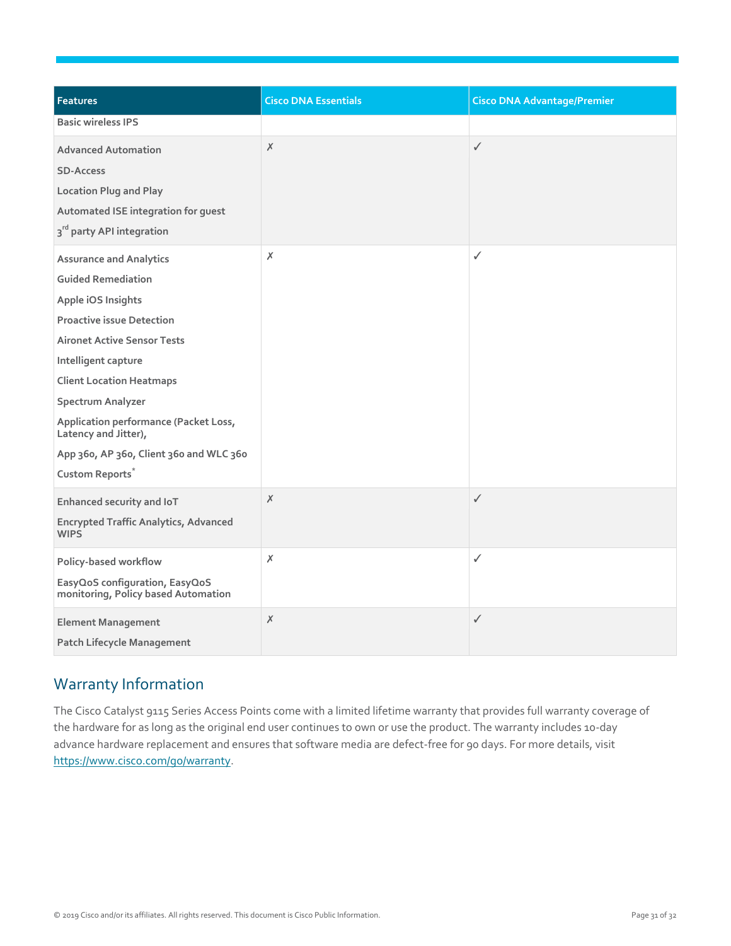| <b>Features</b>                                                                                                                                                                                                                                                                                                                                                                       | <b>Cisco DNA Essentials</b> | <b>Cisco DNA Advantage/Premier</b> |
|---------------------------------------------------------------------------------------------------------------------------------------------------------------------------------------------------------------------------------------------------------------------------------------------------------------------------------------------------------------------------------------|-----------------------------|------------------------------------|
| <b>Basic wireless IPS</b>                                                                                                                                                                                                                                                                                                                                                             |                             |                                    |
| <b>Advanced Automation</b><br><b>SD-Access</b><br><b>Location Plug and Play</b><br>Automated ISE integration for guest<br>3 <sup>rd</sup> party API integration                                                                                                                                                                                                                       | Х                           | ✓                                  |
| <b>Assurance and Analytics</b><br><b>Guided Remediation</b><br>Apple iOS Insights<br><b>Proactive issue Detection</b><br><b>Aironet Active Sensor Tests</b><br>Intelligent capture<br><b>Client Location Heatmaps</b><br>Spectrum Analyzer<br>Application performance (Packet Loss,<br>Latency and Jitter),<br>App 360, AP 360, Client 360 and WLC 360<br>Custom Reports <sup>*</sup> | $\chi$                      | ✓                                  |
| Enhanced security and IoT<br><b>Encrypted Traffic Analytics, Advanced</b><br><b>WIPS</b>                                                                                                                                                                                                                                                                                              | Х                           | $\checkmark$                       |
| Policy-based workflow<br>EasyQoS configuration, EasyQoS<br>monitoring, Policy based Automation                                                                                                                                                                                                                                                                                        | $\chi$                      | ✓                                  |
| <b>Element Management</b><br><b>Patch Lifecycle Management</b>                                                                                                                                                                                                                                                                                                                        | X                           | $\checkmark$                       |

### <span id="page-30-0"></span>Warranty Information

The Cisco Catalyst 9115 Series Access Points come with a limited lifetime warranty that provides full warranty coverage of the hardware for as long as the original end user continues to own or use the product. The warranty includes 10-day advance hardware replacement and ensures that software media are defect-free for 90 days. For more details, visit [https://www.cisco.com/go/warranty.](https://www.cisco.com/go/warranty)